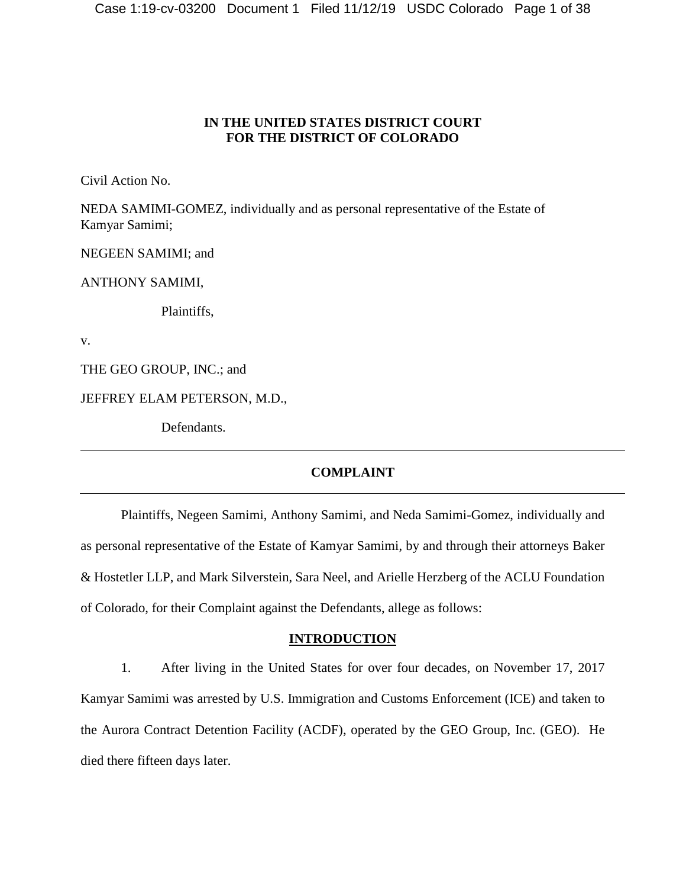## **IN THE UNITED STATES DISTRICT COURT FOR THE DISTRICT OF COLORADO**

Civil Action No.

NEDA SAMIMI-GOMEZ, individually and as personal representative of the Estate of Kamyar Samimi;

NEGEEN SAMIMI; and

ANTHONY SAMIMI,

Plaintiffs,

v.

THE GEO GROUP, INC.; and

JEFFREY ELAM PETERSON, M.D.,

Defendants.

## **COMPLAINT**

Plaintiffs, Negeen Samimi, Anthony Samimi, and Neda Samimi-Gomez, individually and as personal representative of the Estate of Kamyar Samimi, by and through their attorneys Baker & Hostetler LLP, and Mark Silverstein, Sara Neel, and Arielle Herzberg of the ACLU Foundation of Colorado, for their Complaint against the Defendants, allege as follows:

## **INTRODUCTION**

1. After living in the United States for over four decades, on November 17, 2017 Kamyar Samimi was arrested by U.S. Immigration and Customs Enforcement (ICE) and taken to the Aurora Contract Detention Facility (ACDF), operated by the GEO Group, Inc. (GEO). He died there fifteen days later.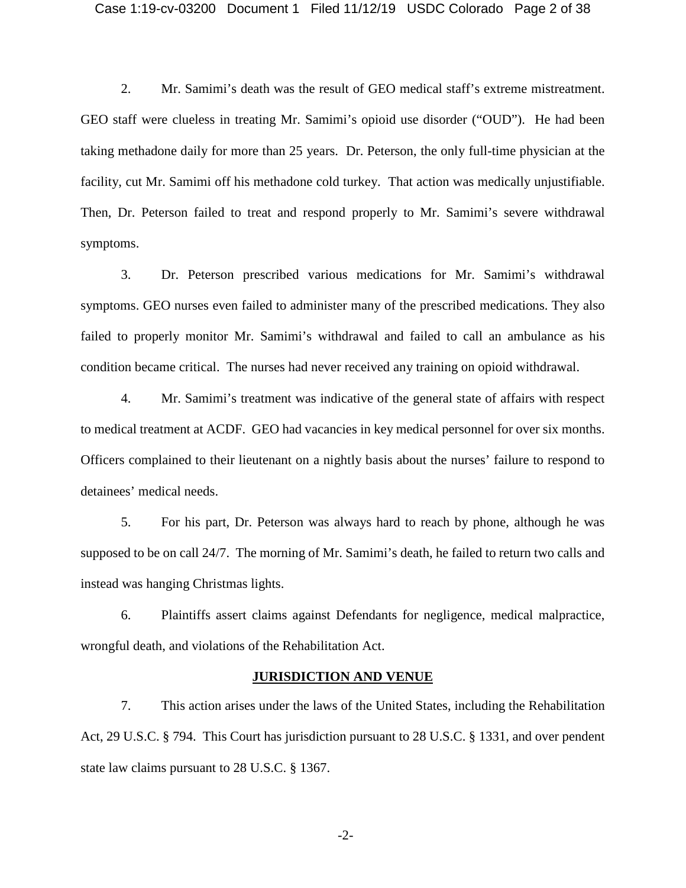#### Case 1:19-cv-03200 Document 1 Filed 11/12/19 USDC Colorado Page 2 of 38

2. Mr. Samimi's death was the result of GEO medical staff's extreme mistreatment. GEO staff were clueless in treating Mr. Samimi's opioid use disorder ("OUD"). He had been taking methadone daily for more than 25 years. Dr. Peterson, the only full-time physician at the facility, cut Mr. Samimi off his methadone cold turkey. That action was medically unjustifiable. Then, Dr. Peterson failed to treat and respond properly to Mr. Samimi's severe withdrawal symptoms.

3. Dr. Peterson prescribed various medications for Mr. Samimi's withdrawal symptoms. GEO nurses even failed to administer many of the prescribed medications. They also failed to properly monitor Mr. Samimi's withdrawal and failed to call an ambulance as his condition became critical. The nurses had never received any training on opioid withdrawal.

4. Mr. Samimi's treatment was indicative of the general state of affairs with respect to medical treatment at ACDF. GEO had vacancies in key medical personnel for over six months. Officers complained to their lieutenant on a nightly basis about the nurses' failure to respond to detainees' medical needs.

5. For his part, Dr. Peterson was always hard to reach by phone, although he was supposed to be on call 24/7. The morning of Mr. Samimi's death, he failed to return two calls and instead was hanging Christmas lights.

6. Plaintiffs assert claims against Defendants for negligence, medical malpractice, wrongful death, and violations of the Rehabilitation Act.

#### **JURISDICTION AND VENUE**

7. This action arises under the laws of the United States, including the Rehabilitation Act, 29 U.S.C. § 794. This Court has jurisdiction pursuant to 28 U.S.C. § 1331, and over pendent state law claims pursuant to 28 U.S.C. § 1367.

-2-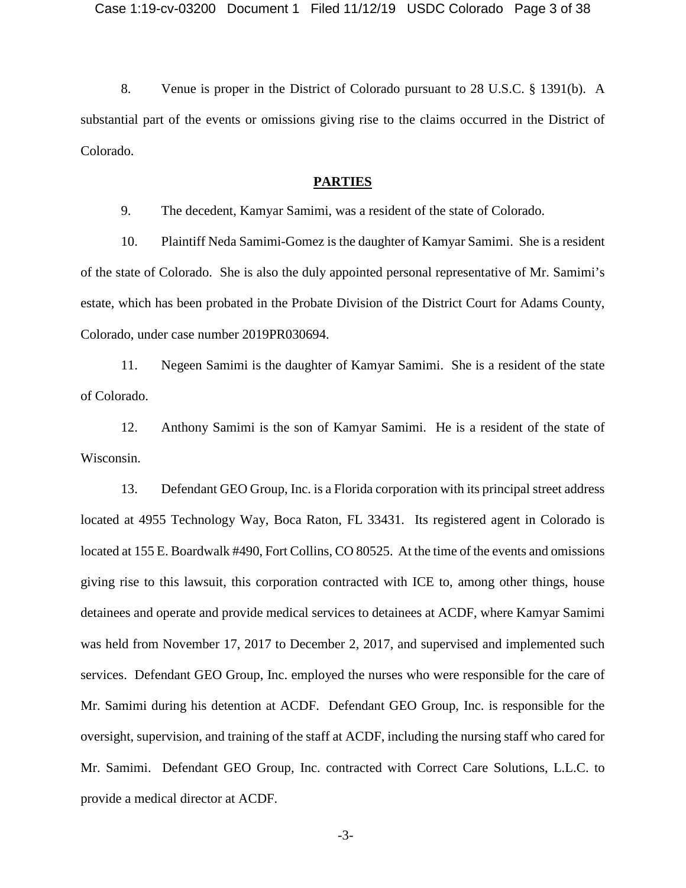8. Venue is proper in the District of Colorado pursuant to 28 U.S.C. § 1391(b). A substantial part of the events or omissions giving rise to the claims occurred in the District of Colorado.

## **PARTIES**

9. The decedent, Kamyar Samimi, was a resident of the state of Colorado.

10. Plaintiff Neda Samimi-Gomez is the daughter of Kamyar Samimi. She is a resident of the state of Colorado. She is also the duly appointed personal representative of Mr. Samimi's estate, which has been probated in the Probate Division of the District Court for Adams County, Colorado, under case number 2019PR030694.

11. Negeen Samimi is the daughter of Kamyar Samimi. She is a resident of the state of Colorado.

12. Anthony Samimi is the son of Kamyar Samimi. He is a resident of the state of Wisconsin.

13. Defendant GEO Group, Inc. is a Florida corporation with its principal street address located at 4955 Technology Way, Boca Raton, FL 33431. Its registered agent in Colorado is located at 155 E. Boardwalk #490, Fort Collins, CO 80525. At the time of the events and omissions giving rise to this lawsuit, this corporation contracted with ICE to, among other things, house detainees and operate and provide medical services to detainees at ACDF, where Kamyar Samimi was held from November 17, 2017 to December 2, 2017, and supervised and implemented such services. Defendant GEO Group, Inc. employed the nurses who were responsible for the care of Mr. Samimi during his detention at ACDF. Defendant GEO Group, Inc. is responsible for the oversight, supervision, and training of the staff at ACDF, including the nursing staff who cared for Mr. Samimi. Defendant GEO Group, Inc. contracted with Correct Care Solutions, L.L.C. to provide a medical director at ACDF.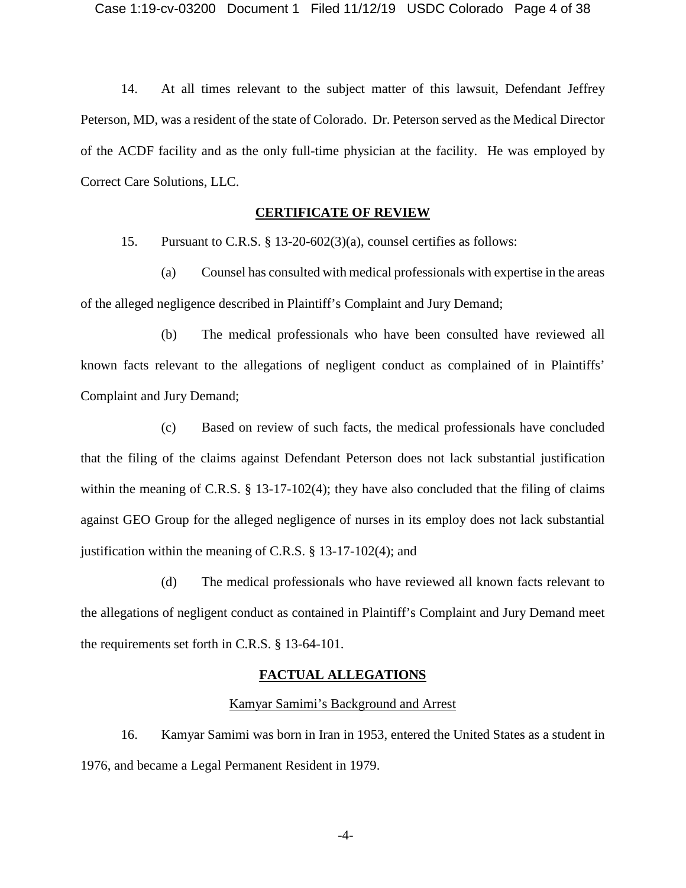14. At all times relevant to the subject matter of this lawsuit, Defendant Jeffrey Peterson, MD, was a resident of the state of Colorado. Dr. Peterson served as the Medical Director of the ACDF facility and as the only full-time physician at the facility. He was employed by Correct Care Solutions, LLC.

## **CERTIFICATE OF REVIEW**

15. Pursuant to C.R.S. § 13-20-602(3)(a), counsel certifies as follows:

(a) Counsel has consulted with medical professionals with expertise in the areas of the alleged negligence described in Plaintiff's Complaint and Jury Demand;

(b) The medical professionals who have been consulted have reviewed all known facts relevant to the allegations of negligent conduct as complained of in Plaintiffs' Complaint and Jury Demand;

(c) Based on review of such facts, the medical professionals have concluded that the filing of the claims against Defendant Peterson does not lack substantial justification within the meaning of C.R.S.  $\S$  13-17-102(4); they have also concluded that the filing of claims against GEO Group for the alleged negligence of nurses in its employ does not lack substantial justification within the meaning of C.R.S.  $\S$  13-17-102(4); and

(d) The medical professionals who have reviewed all known facts relevant to the allegations of negligent conduct as contained in Plaintiff's Complaint and Jury Demand meet the requirements set forth in C.R.S. § 13-64-101.

## **FACTUAL ALLEGATIONS**

#### Kamyar Samimi's Background and Arrest

16. Kamyar Samimi was born in Iran in 1953, entered the United States as a student in 1976, and became a Legal Permanent Resident in 1979.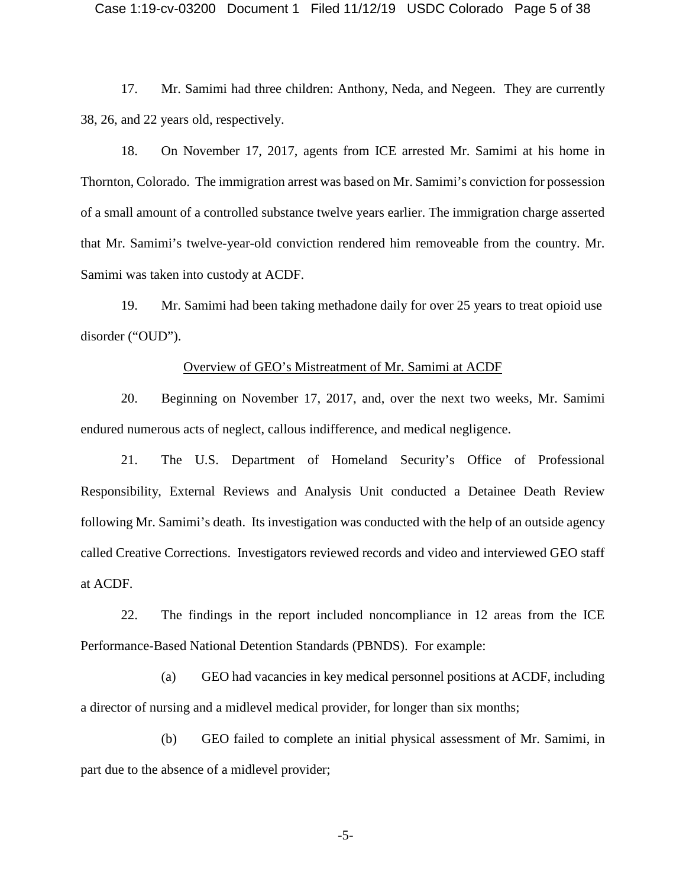17. Mr. Samimi had three children: Anthony, Neda, and Negeen. They are currently 38, 26, and 22 years old, respectively.

18. On November 17, 2017, agents from ICE arrested Mr. Samimi at his home in Thornton, Colorado. The immigration arrest was based on Mr. Samimi's conviction for possession of a small amount of a controlled substance twelve years earlier. The immigration charge asserted that Mr. Samimi's twelve-year-old conviction rendered him removeable from the country. Mr. Samimi was taken into custody at ACDF.

19. Mr. Samimi had been taking methadone daily for over 25 years to treat opioid use disorder ("OUD").

#### Overview of GEO's Mistreatment of Mr. Samimi at ACDF

20. Beginning on November 17, 2017, and, over the next two weeks, Mr. Samimi endured numerous acts of neglect, callous indifference, and medical negligence.

21. The U.S. Department of Homeland Security's Office of Professional Responsibility, External Reviews and Analysis Unit conducted a Detainee Death Review following Mr. Samimi's death. Its investigation was conducted with the help of an outside agency called Creative Corrections. Investigators reviewed records and video and interviewed GEO staff at ACDF.

22. The findings in the report included noncompliance in 12 areas from the ICE Performance-Based National Detention Standards (PBNDS). For example:

(a) GEO had vacancies in key medical personnel positions at ACDF, including a director of nursing and a midlevel medical provider, for longer than six months;

(b) GEO failed to complete an initial physical assessment of Mr. Samimi, in part due to the absence of a midlevel provider;

-5-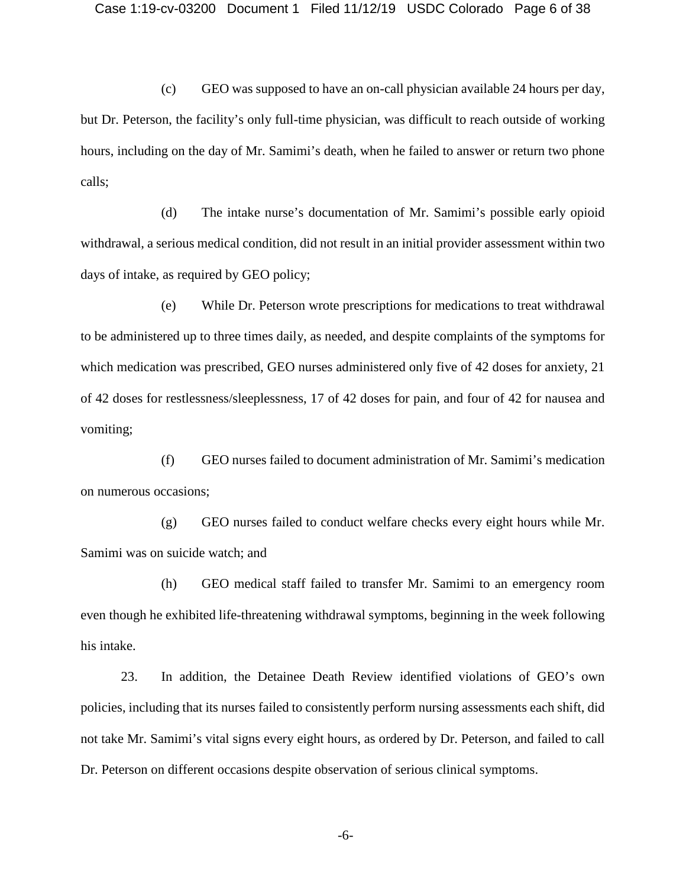(c) GEO was supposed to have an on-call physician available 24 hours per day, but Dr. Peterson, the facility's only full-time physician, was difficult to reach outside of working hours, including on the day of Mr. Samimi's death, when he failed to answer or return two phone calls;

(d) The intake nurse's documentation of Mr. Samimi's possible early opioid withdrawal, a serious medical condition, did not result in an initial provider assessment within two days of intake, as required by GEO policy;

(e) While Dr. Peterson wrote prescriptions for medications to treat withdrawal to be administered up to three times daily, as needed, and despite complaints of the symptoms for which medication was prescribed, GEO nurses administered only five of 42 doses for anxiety, 21 of 42 doses for restlessness/sleeplessness, 17 of 42 doses for pain, and four of 42 for nausea and vomiting;

(f) GEO nurses failed to document administration of Mr. Samimi's medication on numerous occasions;

(g) GEO nurses failed to conduct welfare checks every eight hours while Mr. Samimi was on suicide watch; and

(h) GEO medical staff failed to transfer Mr. Samimi to an emergency room even though he exhibited life-threatening withdrawal symptoms, beginning in the week following his intake.

23. In addition, the Detainee Death Review identified violations of GEO's own policies, including that its nurses failed to consistently perform nursing assessments each shift, did not take Mr. Samimi's vital signs every eight hours, as ordered by Dr. Peterson, and failed to call Dr. Peterson on different occasions despite observation of serious clinical symptoms.

-6-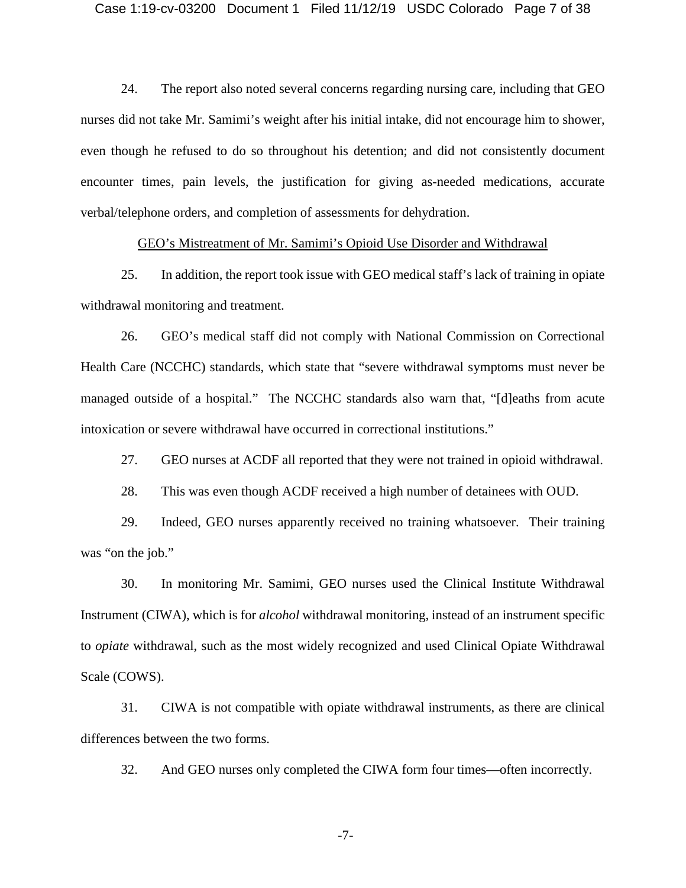24. The report also noted several concerns regarding nursing care, including that GEO nurses did not take Mr. Samimi's weight after his initial intake, did not encourage him to shower, even though he refused to do so throughout his detention; and did not consistently document encounter times, pain levels, the justification for giving as-needed medications, accurate verbal/telephone orders, and completion of assessments for dehydration.

#### GEO's Mistreatment of Mr. Samimi's Opioid Use Disorder and Withdrawal

25. In addition, the report took issue with GEO medical staff's lack of training in opiate withdrawal monitoring and treatment.

26. GEO's medical staff did not comply with National Commission on Correctional Health Care (NCCHC) standards, which state that "severe withdrawal symptoms must never be managed outside of a hospital." The NCCHC standards also warn that, "[d]eaths from acute intoxication or severe withdrawal have occurred in correctional institutions."

27. GEO nurses at ACDF all reported that they were not trained in opioid withdrawal.

28. This was even though ACDF received a high number of detainees with OUD.

29. Indeed, GEO nurses apparently received no training whatsoever. Their training was "on the job."

30. In monitoring Mr. Samimi, GEO nurses used the Clinical Institute Withdrawal Instrument (CIWA), which is for *alcohol* withdrawal monitoring, instead of an instrument specific to *opiate* withdrawal, such as the most widely recognized and used Clinical Opiate Withdrawal Scale (COWS).

31. CIWA is not compatible with opiate withdrawal instruments, as there are clinical differences between the two forms.

32. And GEO nurses only completed the CIWA form four times—often incorrectly.

-7-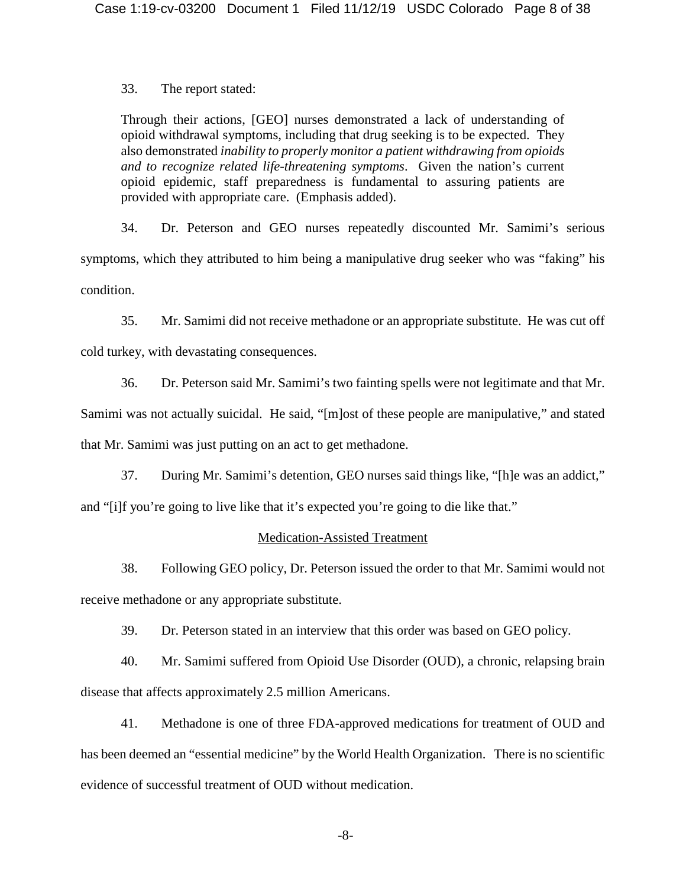33. The report stated:

Through their actions, [GEO] nurses demonstrated a lack of understanding of opioid withdrawal symptoms, including that drug seeking is to be expected. They also demonstrated *inability to properly monitor a patient withdrawing from opioids and to recognize related life-threatening symptoms*. Given the nation's current opioid epidemic, staff preparedness is fundamental to assuring patients are provided with appropriate care. (Emphasis added).

34. Dr. Peterson and GEO nurses repeatedly discounted Mr. Samimi's serious symptoms, which they attributed to him being a manipulative drug seeker who was "faking" his condition.

35. Mr. Samimi did not receive methadone or an appropriate substitute. He was cut off cold turkey, with devastating consequences.

36. Dr. Peterson said Mr. Samimi's two fainting spells were not legitimate and that Mr.

Samimi was not actually suicidal. He said, "[m]ost of these people are manipulative," and stated that Mr. Samimi was just putting on an act to get methadone.

37. During Mr. Samimi's detention, GEO nurses said things like, "[h]e was an addict,"

and "[i]f you're going to live like that it's expected you're going to die like that."

## Medication-Assisted Treatment

38. Following GEO policy, Dr. Peterson issued the order to that Mr. Samimi would not receive methadone or any appropriate substitute.

39. Dr. Peterson stated in an interview that this order was based on GEO policy.

40. Mr. Samimi suffered from Opioid Use Disorder (OUD), a chronic, relapsing brain disease that affects approximately 2.5 million Americans.

41. Methadone is one of three FDA-approved medications for treatment of OUD and has been deemed an "essential medicine" by the World Health Organization. There is no scientific evidence of successful treatment of OUD without medication.

-8-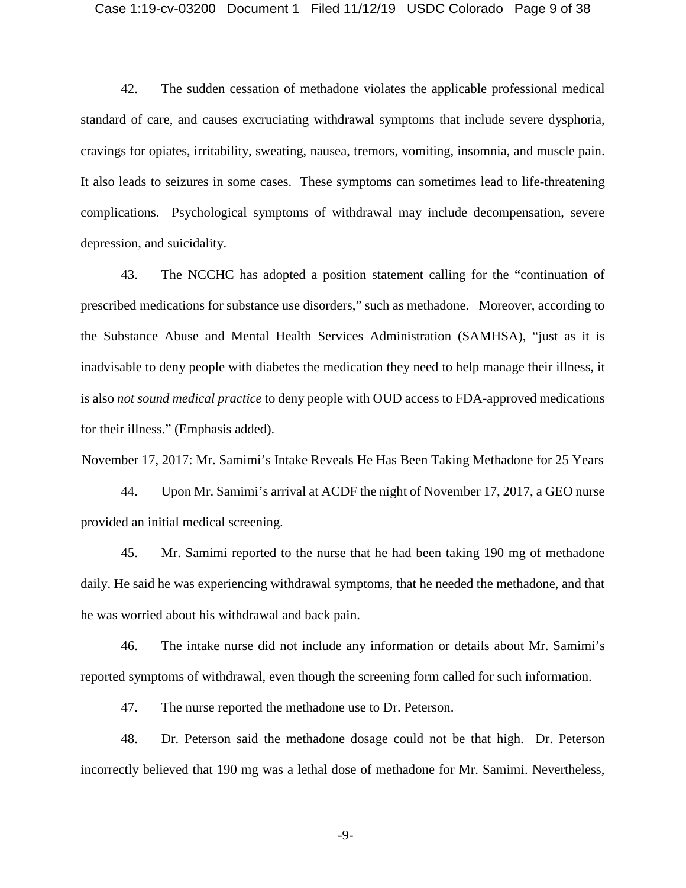#### Case 1:19-cv-03200 Document 1 Filed 11/12/19 USDC Colorado Page 9 of 38

42. The sudden cessation of methadone violates the applicable professional medical standard of care, and causes excruciating withdrawal symptoms that include severe dysphoria, cravings for opiates, irritability, sweating, nausea, tremors, vomiting, insomnia, and muscle pain. It also leads to seizures in some cases. These symptoms can sometimes lead to life-threatening complications. Psychological symptoms of withdrawal may include decompensation, severe depression, and suicidality.

43. The NCCHC has adopted a position statement calling for the "continuation of prescribed medications for substance use disorders," such as methadone. Moreover, according to the Substance Abuse and Mental Health Services Administration (SAMHSA), "just as it is inadvisable to deny people with diabetes the medication they need to help manage their illness, it is also *not sound medical practice* to deny people with OUD access to FDA-approved medications for their illness." (Emphasis added).

#### November 17, 2017: Mr. Samimi's Intake Reveals He Has Been Taking Methadone for 25 Years

44. Upon Mr. Samimi's arrival at ACDF the night of November 17, 2017, a GEO nurse provided an initial medical screening.

45. Mr. Samimi reported to the nurse that he had been taking 190 mg of methadone daily. He said he was experiencing withdrawal symptoms, that he needed the methadone, and that he was worried about his withdrawal and back pain.

46. The intake nurse did not include any information or details about Mr. Samimi's reported symptoms of withdrawal, even though the screening form called for such information.

47. The nurse reported the methadone use to Dr. Peterson.

48. Dr. Peterson said the methadone dosage could not be that high. Dr. Peterson incorrectly believed that 190 mg was a lethal dose of methadone for Mr. Samimi. Nevertheless,

-9-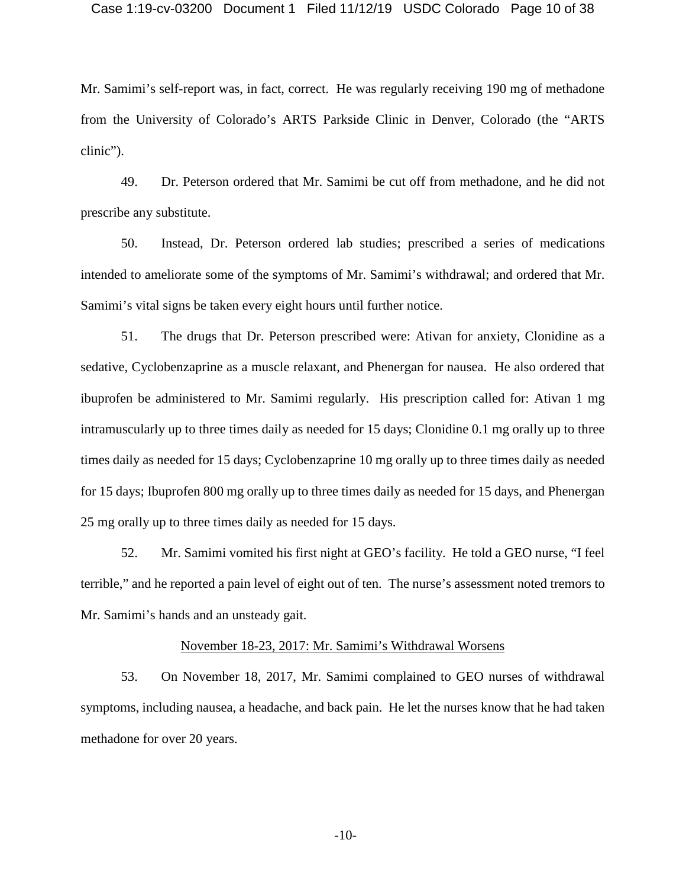#### Case 1:19-cv-03200 Document 1 Filed 11/12/19 USDC Colorado Page 10 of 38

Mr. Samimi's self-report was, in fact, correct. He was regularly receiving 190 mg of methadone from the University of Colorado's ARTS Parkside Clinic in Denver, Colorado (the "ARTS clinic").

49. Dr. Peterson ordered that Mr. Samimi be cut off from methadone, and he did not prescribe any substitute.

50. Instead, Dr. Peterson ordered lab studies; prescribed a series of medications intended to ameliorate some of the symptoms of Mr. Samimi's withdrawal; and ordered that Mr. Samimi's vital signs be taken every eight hours until further notice.

51. The drugs that Dr. Peterson prescribed were: Ativan for anxiety, Clonidine as a sedative, Cyclobenzaprine as a muscle relaxant, and Phenergan for nausea. He also ordered that ibuprofen be administered to Mr. Samimi regularly. His prescription called for: Ativan 1 mg intramuscularly up to three times daily as needed for 15 days; Clonidine 0.1 mg orally up to three times daily as needed for 15 days; Cyclobenzaprine 10 mg orally up to three times daily as needed for 15 days; Ibuprofen 800 mg orally up to three times daily as needed for 15 days, and Phenergan 25 mg orally up to three times daily as needed for 15 days.

52. Mr. Samimi vomited his first night at GEO's facility. He told a GEO nurse, "I feel terrible," and he reported a pain level of eight out of ten. The nurse's assessment noted tremors to Mr. Samimi's hands and an unsteady gait.

#### November 18-23, 2017: Mr. Samimi's Withdrawal Worsens

53. On November 18, 2017, Mr. Samimi complained to GEO nurses of withdrawal symptoms, including nausea, a headache, and back pain. He let the nurses know that he had taken methadone for over 20 years.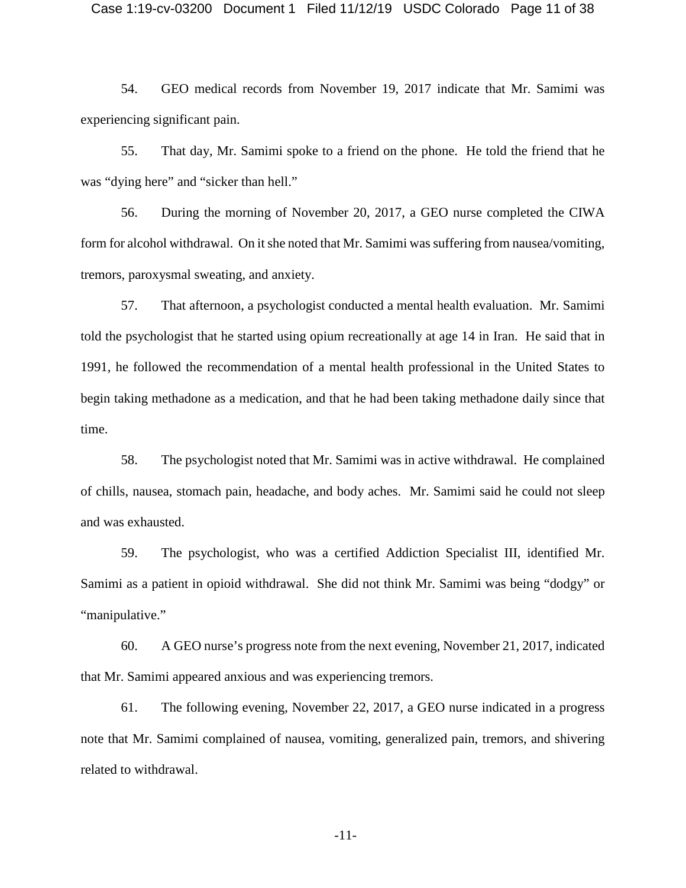#### Case 1:19-cv-03200 Document 1 Filed 11/12/19 USDC Colorado Page 11 of 38

54. GEO medical records from November 19, 2017 indicate that Mr. Samimi was experiencing significant pain.

55. That day, Mr. Samimi spoke to a friend on the phone. He told the friend that he was "dying here" and "sicker than hell."

56. During the morning of November 20, 2017, a GEO nurse completed the CIWA form for alcohol withdrawal. On it she noted that Mr. Samimi was suffering from nausea/vomiting, tremors, paroxysmal sweating, and anxiety.

57. That afternoon, a psychologist conducted a mental health evaluation. Mr. Samimi told the psychologist that he started using opium recreationally at age 14 in Iran. He said that in 1991, he followed the recommendation of a mental health professional in the United States to begin taking methadone as a medication, and that he had been taking methadone daily since that time.

58. The psychologist noted that Mr. Samimi was in active withdrawal. He complained of chills, nausea, stomach pain, headache, and body aches. Mr. Samimi said he could not sleep and was exhausted.

59. The psychologist, who was a certified Addiction Specialist III, identified Mr. Samimi as a patient in opioid withdrawal. She did not think Mr. Samimi was being "dodgy" or "manipulative."

60. A GEO nurse's progress note from the next evening, November 21, 2017, indicated that Mr. Samimi appeared anxious and was experiencing tremors.

61. The following evening, November 22, 2017, a GEO nurse indicated in a progress note that Mr. Samimi complained of nausea, vomiting, generalized pain, tremors, and shivering related to withdrawal.

-11-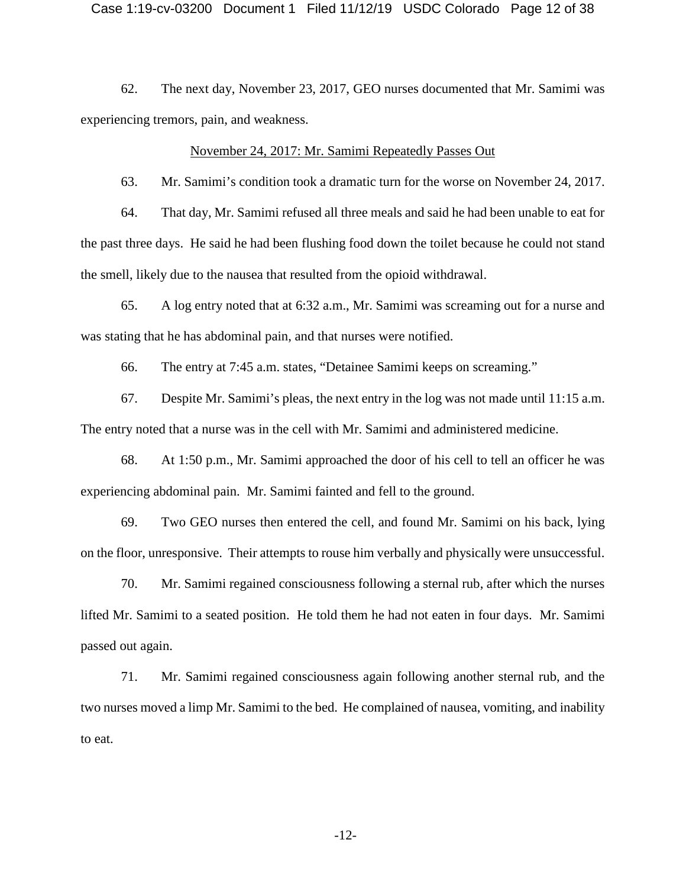62. The next day, November 23, 2017, GEO nurses documented that Mr. Samimi was experiencing tremors, pain, and weakness.

#### November 24, 2017: Mr. Samimi Repeatedly Passes Out

63. Mr. Samimi's condition took a dramatic turn for the worse on November 24, 2017.

64. That day, Mr. Samimi refused all three meals and said he had been unable to eat for the past three days. He said he had been flushing food down the toilet because he could not stand the smell, likely due to the nausea that resulted from the opioid withdrawal.

65. A log entry noted that at 6:32 a.m., Mr. Samimi was screaming out for a nurse and was stating that he has abdominal pain, and that nurses were notified.

66. The entry at 7:45 a.m. states, "Detainee Samimi keeps on screaming."

67. Despite Mr. Samimi's pleas, the next entry in the log was not made until 11:15 a.m. The entry noted that a nurse was in the cell with Mr. Samimi and administered medicine.

68. At 1:50 p.m., Mr. Samimi approached the door of his cell to tell an officer he was experiencing abdominal pain. Mr. Samimi fainted and fell to the ground.

69. Two GEO nurses then entered the cell, and found Mr. Samimi on his back, lying on the floor, unresponsive. Their attempts to rouse him verbally and physically were unsuccessful.

70. Mr. Samimi regained consciousness following a sternal rub, after which the nurses lifted Mr. Samimi to a seated position. He told them he had not eaten in four days. Mr. Samimi passed out again.

71. Mr. Samimi regained consciousness again following another sternal rub, and the two nurses moved a limp Mr. Samimi to the bed. He complained of nausea, vomiting, and inability to eat.

-12-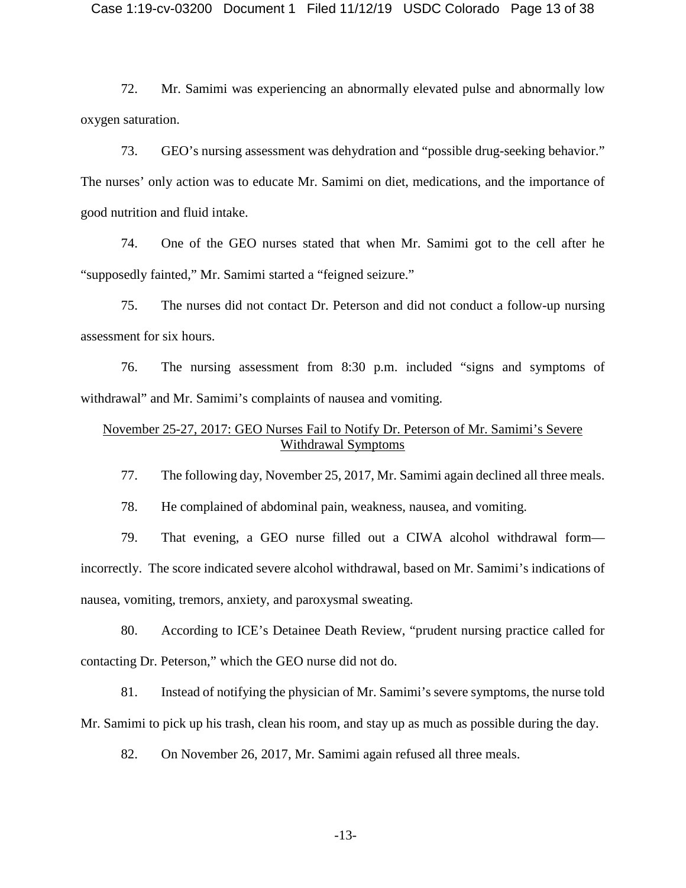72. Mr. Samimi was experiencing an abnormally elevated pulse and abnormally low oxygen saturation.

73. GEO's nursing assessment was dehydration and "possible drug-seeking behavior." The nurses' only action was to educate Mr. Samimi on diet, medications, and the importance of good nutrition and fluid intake.

74. One of the GEO nurses stated that when Mr. Samimi got to the cell after he "supposedly fainted," Mr. Samimi started a "feigned seizure."

75. The nurses did not contact Dr. Peterson and did not conduct a follow-up nursing assessment for six hours.

76. The nursing assessment from 8:30 p.m. included "signs and symptoms of withdrawal" and Mr. Samimi's complaints of nausea and vomiting.

## November 25-27, 2017: GEO Nurses Fail to Notify Dr. Peterson of Mr. Samimi's Severe Withdrawal Symptoms

77. The following day, November 25, 2017, Mr. Samimi again declined all three meals.

78. He complained of abdominal pain, weakness, nausea, and vomiting.

79. That evening, a GEO nurse filled out a CIWA alcohol withdrawal form incorrectly. The score indicated severe alcohol withdrawal, based on Mr. Samimi's indications of nausea, vomiting, tremors, anxiety, and paroxysmal sweating.

80. According to ICE's Detainee Death Review, "prudent nursing practice called for contacting Dr. Peterson," which the GEO nurse did not do.

81. Instead of notifying the physician of Mr. Samimi's severe symptoms, the nurse told Mr. Samimi to pick up his trash, clean his room, and stay up as much as possible during the day.

82. On November 26, 2017, Mr. Samimi again refused all three meals.

-13-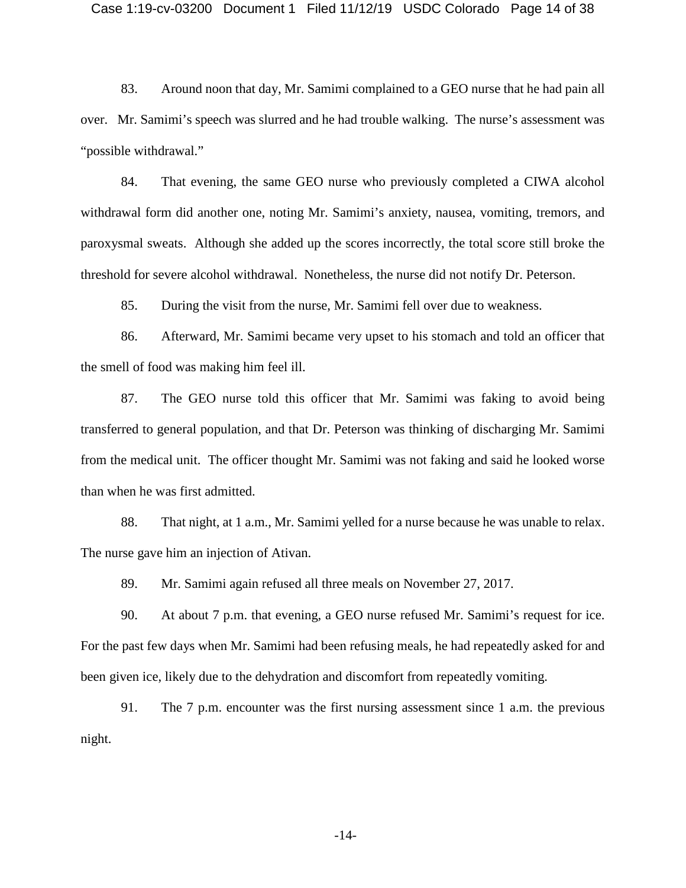#### Case 1:19-cv-03200 Document 1 Filed 11/12/19 USDC Colorado Page 14 of 38

83. Around noon that day, Mr. Samimi complained to a GEO nurse that he had pain all over. Mr. Samimi's speech was slurred and he had trouble walking. The nurse's assessment was "possible withdrawal."

84. That evening, the same GEO nurse who previously completed a CIWA alcohol withdrawal form did another one, noting Mr. Samimi's anxiety, nausea, vomiting, tremors, and paroxysmal sweats. Although she added up the scores incorrectly, the total score still broke the threshold for severe alcohol withdrawal. Nonetheless, the nurse did not notify Dr. Peterson.

85. During the visit from the nurse, Mr. Samimi fell over due to weakness.

86. Afterward, Mr. Samimi became very upset to his stomach and told an officer that the smell of food was making him feel ill.

87. The GEO nurse told this officer that Mr. Samimi was faking to avoid being transferred to general population, and that Dr. Peterson was thinking of discharging Mr. Samimi from the medical unit. The officer thought Mr. Samimi was not faking and said he looked worse than when he was first admitted.

88. That night, at 1 a.m., Mr. Samimi yelled for a nurse because he was unable to relax. The nurse gave him an injection of Ativan.

89. Mr. Samimi again refused all three meals on November 27, 2017.

90. At about 7 p.m. that evening, a GEO nurse refused Mr. Samimi's request for ice. For the past few days when Mr. Samimi had been refusing meals, he had repeatedly asked for and been given ice, likely due to the dehydration and discomfort from repeatedly vomiting.

91. The 7 p.m. encounter was the first nursing assessment since 1 a.m. the previous night.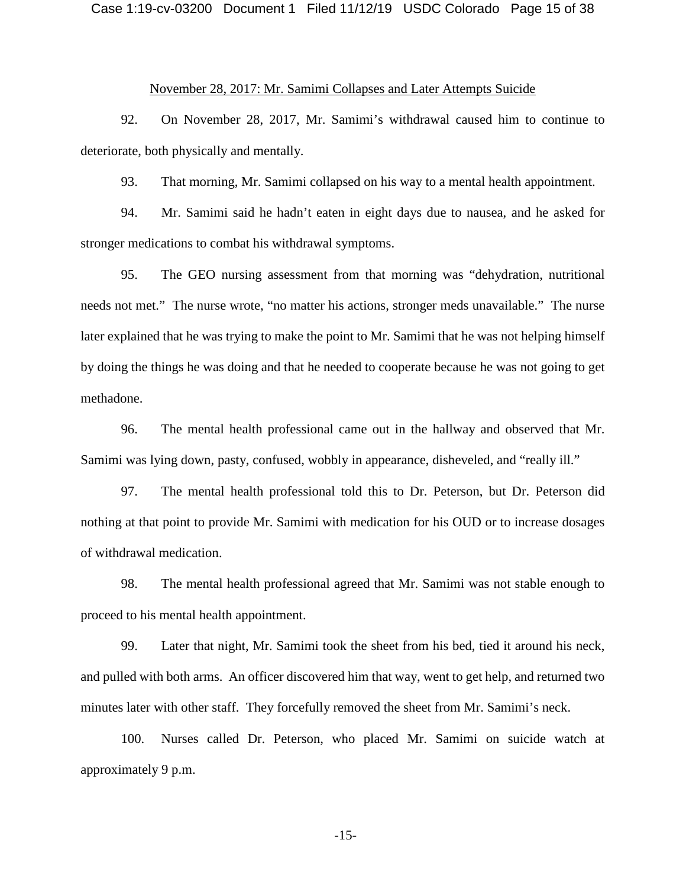#### Case 1:19-cv-03200 Document 1 Filed 11/12/19 USDC Colorado Page 15 of 38

## November 28, 2017: Mr. Samimi Collapses and Later Attempts Suicide

92. On November 28, 2017, Mr. Samimi's withdrawal caused him to continue to deteriorate, both physically and mentally.

93. That morning, Mr. Samimi collapsed on his way to a mental health appointment.

94. Mr. Samimi said he hadn't eaten in eight days due to nausea, and he asked for stronger medications to combat his withdrawal symptoms.

95. The GEO nursing assessment from that morning was "dehydration, nutritional needs not met." The nurse wrote, "no matter his actions, stronger meds unavailable." The nurse later explained that he was trying to make the point to Mr. Samimi that he was not helping himself by doing the things he was doing and that he needed to cooperate because he was not going to get methadone.

96. The mental health professional came out in the hallway and observed that Mr. Samimi was lying down, pasty, confused, wobbly in appearance, disheveled, and "really ill."

97. The mental health professional told this to Dr. Peterson, but Dr. Peterson did nothing at that point to provide Mr. Samimi with medication for his OUD or to increase dosages of withdrawal medication.

98. The mental health professional agreed that Mr. Samimi was not stable enough to proceed to his mental health appointment.

99. Later that night, Mr. Samimi took the sheet from his bed, tied it around his neck, and pulled with both arms. An officer discovered him that way, went to get help, and returned two minutes later with other staff. They forcefully removed the sheet from Mr. Samimi's neck.

100. Nurses called Dr. Peterson, who placed Mr. Samimi on suicide watch at approximately 9 p.m.

-15-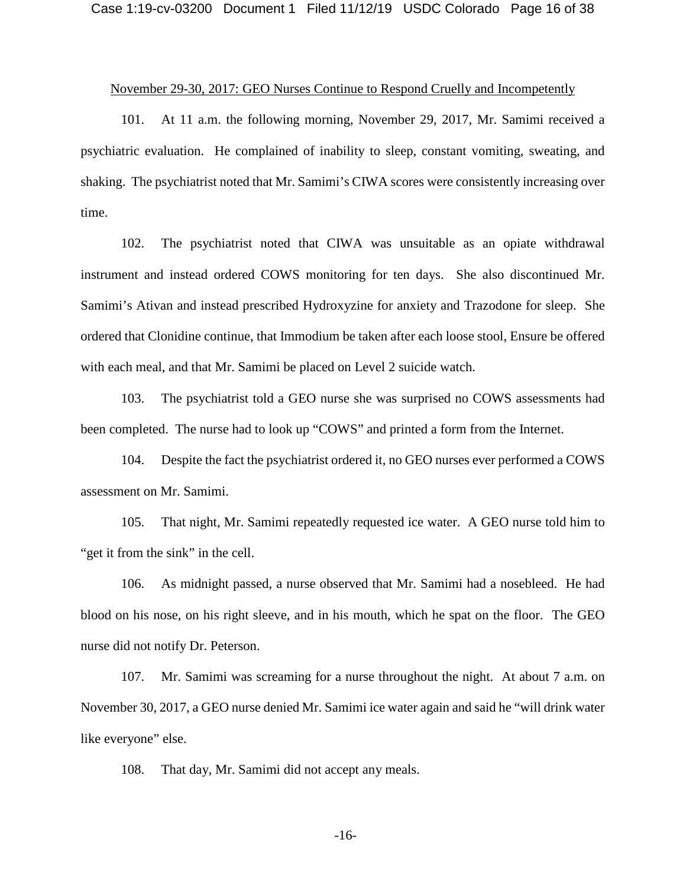#### November 29-30, 2017: GEO Nurses Continue to Respond Cruelly and Incompetently

101. At 11 a.m. the following morning, November 29, 2017, Mr. Samimi received a psychiatric evaluation. He complained of inability to sleep, constant vomiting, sweating, and shaking. The psychiatrist noted that Mr. Samimi's CIWA scores were consistently increasing over time.

102. The psychiatrist noted that CIWA was unsuitable as an opiate withdrawal instrument and instead ordered COWS monitoring for ten days. She also discontinued Mr. Samimi's Ativan and instead prescribed Hydroxyzine for anxiety and Trazodone for sleep. She ordered that Clonidine continue, that Immodium be taken after each loose stool, Ensure be offered with each meal, and that Mr. Samimi be placed on Level 2 suicide watch.

103. The psychiatrist told a GEO nurse she was surprised no COWS assessments had been completed. The nurse had to look up "COWS" and printed a form from the Internet.

104. Despite the fact the psychiatrist ordered it, no GEO nurses ever performed a COWS assessment on Mr. Samimi.

105. That night, Mr. Samimi repeatedly requested ice water. A GEO nurse told him to "get it from the sink" in the cell.

106. As midnight passed, a nurse observed that Mr. Samimi had a nosebleed. He had blood on his nose, on his right sleeve, and in his mouth, which he spat on the floor. The GEO nurse did not notify Dr. Peterson.

107. Mr. Samimi was screaming for a nurse throughout the night. At about 7 a.m. on November 30, 2017, a GEO nurse denied Mr. Samimi ice water again and said he "will drink water like everyone" else.

108. That day, Mr. Samimi did not accept any meals.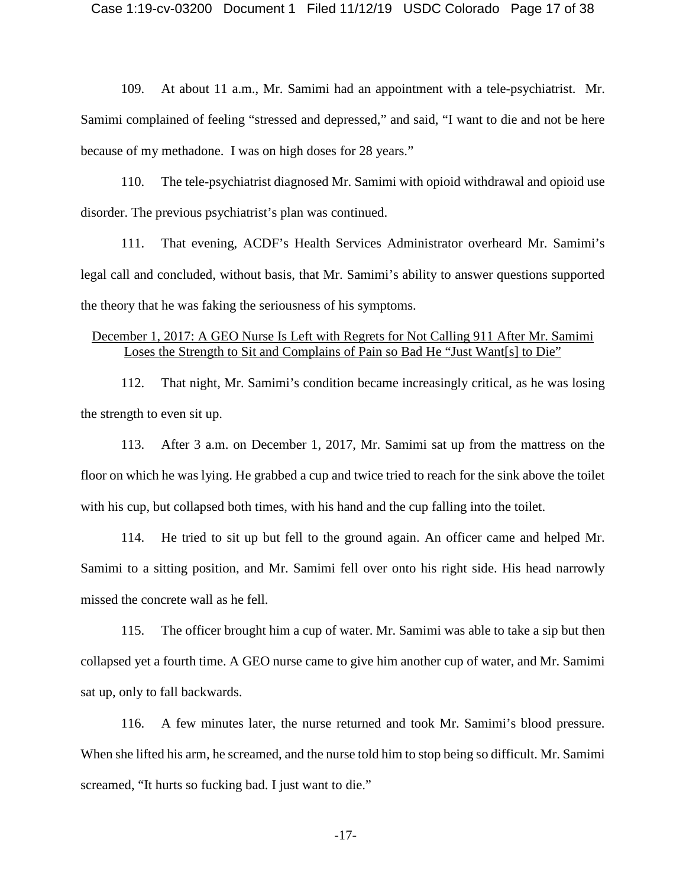109. At about 11 a.m., Mr. Samimi had an appointment with a tele-psychiatrist. Mr. Samimi complained of feeling "stressed and depressed," and said, "I want to die and not be here because of my methadone. I was on high doses for 28 years."

110. The tele-psychiatrist diagnosed Mr. Samimi with opioid withdrawal and opioid use disorder. The previous psychiatrist's plan was continued.

111. That evening, ACDF's Health Services Administrator overheard Mr. Samimi's legal call and concluded, without basis, that Mr. Samimi's ability to answer questions supported the theory that he was faking the seriousness of his symptoms.

## December 1, 2017: A GEO Nurse Is Left with Regrets for Not Calling 911 After Mr. Samimi Loses the Strength to Sit and Complains of Pain so Bad He "Just Want[s] to Die"

112. That night, Mr. Samimi's condition became increasingly critical, as he was losing the strength to even sit up.

113. After 3 a.m. on December 1, 2017, Mr. Samimi sat up from the mattress on the floor on which he was lying. He grabbed a cup and twice tried to reach for the sink above the toilet with his cup, but collapsed both times, with his hand and the cup falling into the toilet.

114. He tried to sit up but fell to the ground again. An officer came and helped Mr. Samimi to a sitting position, and Mr. Samimi fell over onto his right side. His head narrowly missed the concrete wall as he fell.

115. The officer brought him a cup of water. Mr. Samimi was able to take a sip but then collapsed yet a fourth time. A GEO nurse came to give him another cup of water, and Mr. Samimi sat up, only to fall backwards.

116. A few minutes later, the nurse returned and took Mr. Samimi's blood pressure. When she lifted his arm, he screamed, and the nurse told him to stop being so difficult. Mr. Samimi screamed, "It hurts so fucking bad. I just want to die."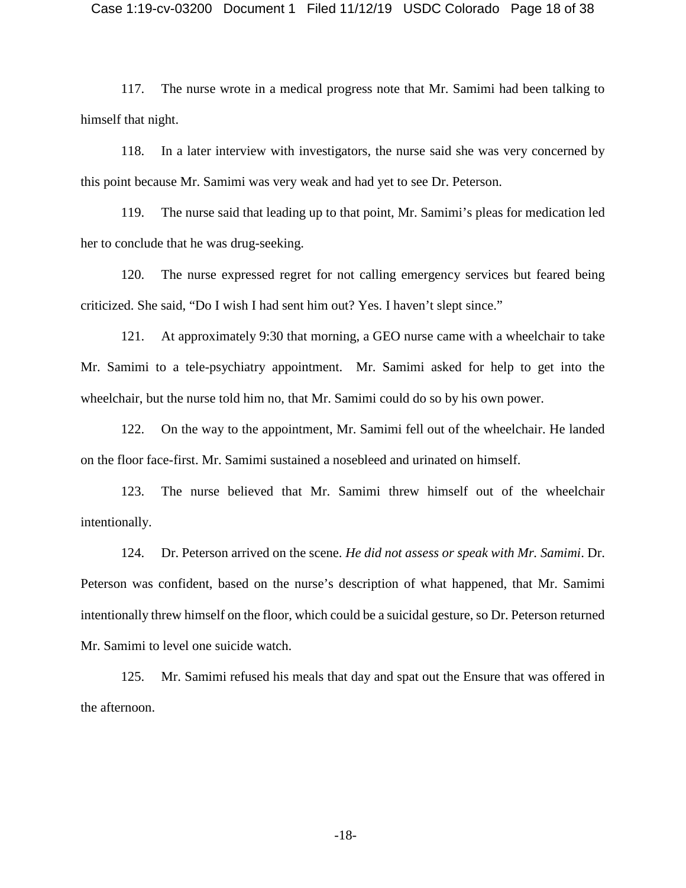117. The nurse wrote in a medical progress note that Mr. Samimi had been talking to himself that night.

118. In a later interview with investigators, the nurse said she was very concerned by this point because Mr. Samimi was very weak and had yet to see Dr. Peterson.

119. The nurse said that leading up to that point, Mr. Samimi's pleas for medication led her to conclude that he was drug-seeking.

120. The nurse expressed regret for not calling emergency services but feared being criticized. She said, "Do I wish I had sent him out? Yes. I haven't slept since."

121. At approximately 9:30 that morning, a GEO nurse came with a wheelchair to take Mr. Samimi to a tele-psychiatry appointment. Mr. Samimi asked for help to get into the wheelchair, but the nurse told him no, that Mr. Samimi could do so by his own power.

122. On the way to the appointment, Mr. Samimi fell out of the wheelchair. He landed on the floor face-first. Mr. Samimi sustained a nosebleed and urinated on himself.

123. The nurse believed that Mr. Samimi threw himself out of the wheelchair intentionally.

124. Dr. Peterson arrived on the scene. *He did not assess or speak with Mr. Samimi*. Dr. Peterson was confident, based on the nurse's description of what happened, that Mr. Samimi intentionally threw himself on the floor, which could be a suicidal gesture, so Dr. Peterson returned Mr. Samimi to level one suicide watch.

125. Mr. Samimi refused his meals that day and spat out the Ensure that was offered in the afternoon.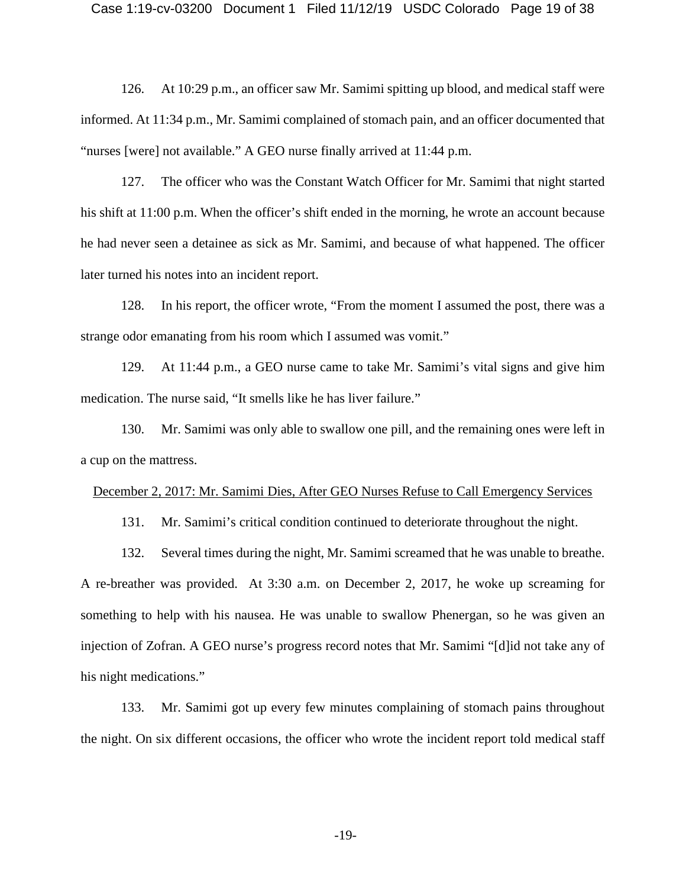126. At 10:29 p.m., an officer saw Mr. Samimi spitting up blood, and medical staff were informed. At 11:34 p.m., Mr. Samimi complained of stomach pain, and an officer documented that "nurses [were] not available." A GEO nurse finally arrived at 11:44 p.m.

127. The officer who was the Constant Watch Officer for Mr. Samimi that night started his shift at 11:00 p.m. When the officer's shift ended in the morning, he wrote an account because he had never seen a detainee as sick as Mr. Samimi, and because of what happened. The officer later turned his notes into an incident report.

128. In his report, the officer wrote, "From the moment I assumed the post, there was a strange odor emanating from his room which I assumed was vomit."

129. At 11:44 p.m., a GEO nurse came to take Mr. Samimi's vital signs and give him medication. The nurse said, "It smells like he has liver failure."

130. Mr. Samimi was only able to swallow one pill, and the remaining ones were left in a cup on the mattress.

#### December 2, 2017: Mr. Samimi Dies, After GEO Nurses Refuse to Call Emergency Services

131. Mr. Samimi's critical condition continued to deteriorate throughout the night.

132. Several times during the night, Mr. Samimi screamed that he was unable to breathe. A re-breather was provided. At 3:30 a.m. on December 2, 2017, he woke up screaming for something to help with his nausea. He was unable to swallow Phenergan, so he was given an injection of Zofran. A GEO nurse's progress record notes that Mr. Samimi "[d]id not take any of his night medications."

133. Mr. Samimi got up every few minutes complaining of stomach pains throughout the night. On six different occasions, the officer who wrote the incident report told medical staff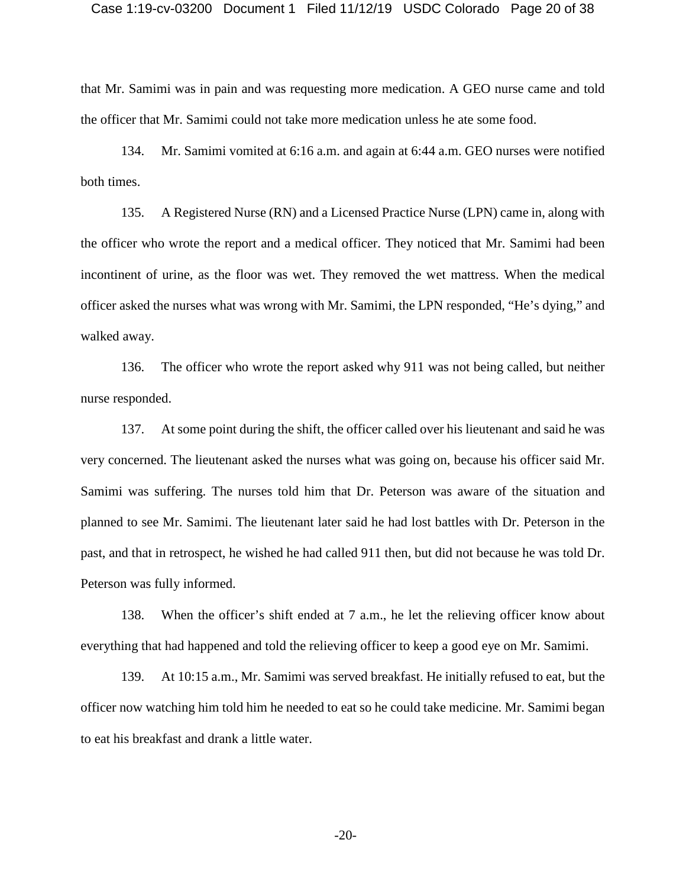#### Case 1:19-cv-03200 Document 1 Filed 11/12/19 USDC Colorado Page 20 of 38

that Mr. Samimi was in pain and was requesting more medication. A GEO nurse came and told the officer that Mr. Samimi could not take more medication unless he ate some food.

134. Mr. Samimi vomited at 6:16 a.m. and again at 6:44 a.m. GEO nurses were notified both times.

135. A Registered Nurse (RN) and a Licensed Practice Nurse (LPN) came in, along with the officer who wrote the report and a medical officer. They noticed that Mr. Samimi had been incontinent of urine, as the floor was wet. They removed the wet mattress. When the medical officer asked the nurses what was wrong with Mr. Samimi, the LPN responded, "He's dying," and walked away.

136. The officer who wrote the report asked why 911 was not being called, but neither nurse responded.

137. At some point during the shift, the officer called over his lieutenant and said he was very concerned. The lieutenant asked the nurses what was going on, because his officer said Mr. Samimi was suffering. The nurses told him that Dr. Peterson was aware of the situation and planned to see Mr. Samimi. The lieutenant later said he had lost battles with Dr. Peterson in the past, and that in retrospect, he wished he had called 911 then, but did not because he was told Dr. Peterson was fully informed.

138. When the officer's shift ended at 7 a.m., he let the relieving officer know about everything that had happened and told the relieving officer to keep a good eye on Mr. Samimi.

139. At 10:15 a.m., Mr. Samimi was served breakfast. He initially refused to eat, but the officer now watching him told him he needed to eat so he could take medicine. Mr. Samimi began to eat his breakfast and drank a little water.

-20-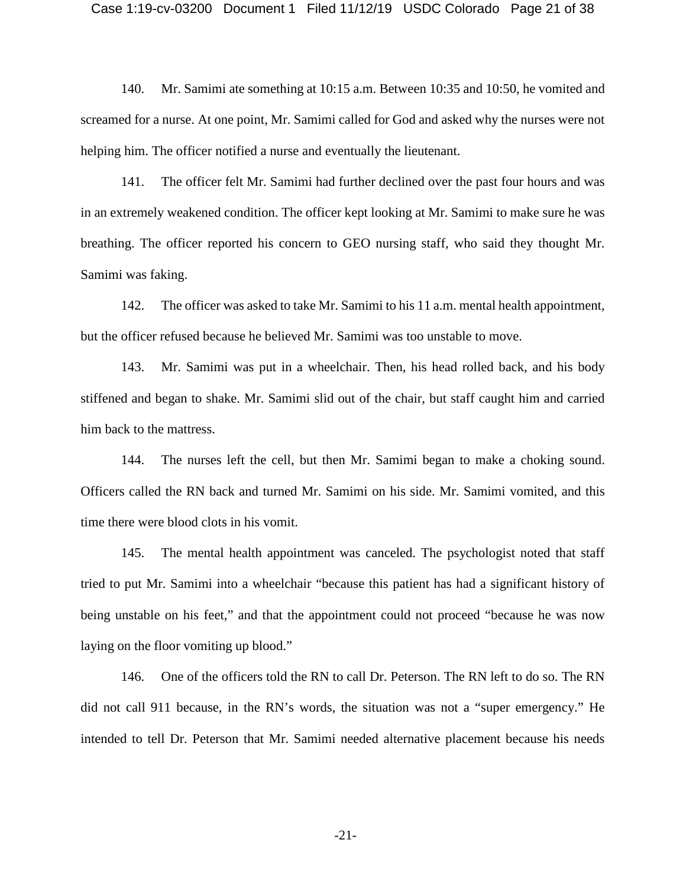#### Case 1:19-cv-03200 Document 1 Filed 11/12/19 USDC Colorado Page 21 of 38

140. Mr. Samimi ate something at 10:15 a.m. Between 10:35 and 10:50, he vomited and screamed for a nurse. At one point, Mr. Samimi called for God and asked why the nurses were not helping him. The officer notified a nurse and eventually the lieutenant.

141. The officer felt Mr. Samimi had further declined over the past four hours and was in an extremely weakened condition. The officer kept looking at Mr. Samimi to make sure he was breathing. The officer reported his concern to GEO nursing staff, who said they thought Mr. Samimi was faking.

142. The officer was asked to take Mr. Samimi to his 11 a.m. mental health appointment, but the officer refused because he believed Mr. Samimi was too unstable to move.

143. Mr. Samimi was put in a wheelchair. Then, his head rolled back, and his body stiffened and began to shake. Mr. Samimi slid out of the chair, but staff caught him and carried him back to the mattress.

144. The nurses left the cell, but then Mr. Samimi began to make a choking sound. Officers called the RN back and turned Mr. Samimi on his side. Mr. Samimi vomited, and this time there were blood clots in his vomit.

145. The mental health appointment was canceled. The psychologist noted that staff tried to put Mr. Samimi into a wheelchair "because this patient has had a significant history of being unstable on his feet," and that the appointment could not proceed "because he was now laying on the floor vomiting up blood."

146. One of the officers told the RN to call Dr. Peterson. The RN left to do so. The RN did not call 911 because, in the RN's words, the situation was not a "super emergency." He intended to tell Dr. Peterson that Mr. Samimi needed alternative placement because his needs

-21-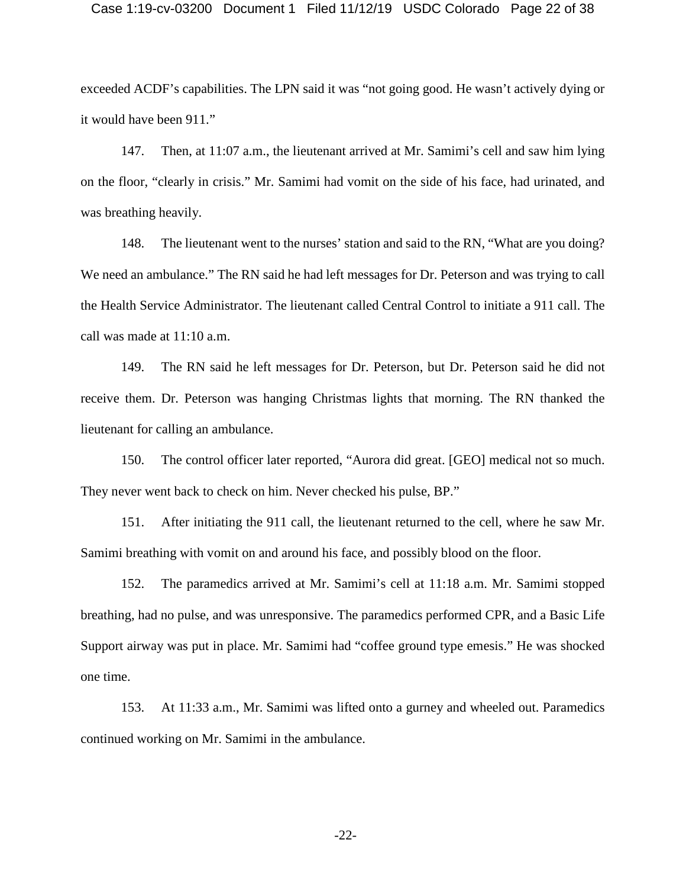#### Case 1:19-cv-03200 Document 1 Filed 11/12/19 USDC Colorado Page 22 of 38

exceeded ACDF's capabilities. The LPN said it was "not going good. He wasn't actively dying or it would have been 911."

147. Then, at 11:07 a.m., the lieutenant arrived at Mr. Samimi's cell and saw him lying on the floor, "clearly in crisis." Mr. Samimi had vomit on the side of his face, had urinated, and was breathing heavily.

148. The lieutenant went to the nurses' station and said to the RN, "What are you doing? We need an ambulance." The RN said he had left messages for Dr. Peterson and was trying to call the Health Service Administrator. The lieutenant called Central Control to initiate a 911 call. The call was made at 11:10 a.m.

149. The RN said he left messages for Dr. Peterson, but Dr. Peterson said he did not receive them. Dr. Peterson was hanging Christmas lights that morning. The RN thanked the lieutenant for calling an ambulance.

150. The control officer later reported, "Aurora did great. [GEO] medical not so much. They never went back to check on him. Never checked his pulse, BP."

151. After initiating the 911 call, the lieutenant returned to the cell, where he saw Mr. Samimi breathing with vomit on and around his face, and possibly blood on the floor.

152. The paramedics arrived at Mr. Samimi's cell at 11:18 a.m. Mr. Samimi stopped breathing, had no pulse, and was unresponsive. The paramedics performed CPR, and a Basic Life Support airway was put in place. Mr. Samimi had "coffee ground type emesis." He was shocked one time.

153. At 11:33 a.m., Mr. Samimi was lifted onto a gurney and wheeled out. Paramedics continued working on Mr. Samimi in the ambulance.

-22-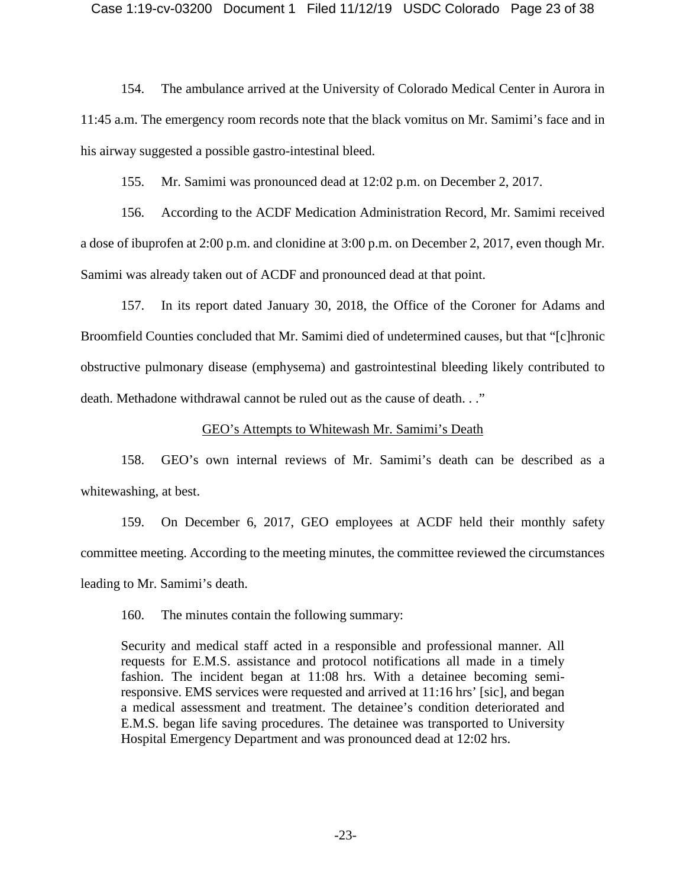154. The ambulance arrived at the University of Colorado Medical Center in Aurora in 11:45 a.m. The emergency room records note that the black vomitus on Mr. Samimi's face and in his airway suggested a possible gastro-intestinal bleed.

155. Mr. Samimi was pronounced dead at 12:02 p.m. on December 2, 2017.

156. According to the ACDF Medication Administration Record, Mr. Samimi received a dose of ibuprofen at 2:00 p.m. and clonidine at 3:00 p.m. on December 2, 2017, even though Mr. Samimi was already taken out of ACDF and pronounced dead at that point.

157. In its report dated January 30, 2018, the Office of the Coroner for Adams and Broomfield Counties concluded that Mr. Samimi died of undetermined causes, but that "[c]hronic obstructive pulmonary disease (emphysema) and gastrointestinal bleeding likely contributed to death. Methadone withdrawal cannot be ruled out as the cause of death. . ."

## GEO's Attempts to Whitewash Mr. Samimi's Death

158. GEO's own internal reviews of Mr. Samimi's death can be described as a whitewashing, at best.

159. On December 6, 2017, GEO employees at ACDF held their monthly safety committee meeting. According to the meeting minutes, the committee reviewed the circumstances leading to Mr. Samimi's death.

160. The minutes contain the following summary:

Security and medical staff acted in a responsible and professional manner. All requests for E.M.S. assistance and protocol notifications all made in a timely fashion. The incident began at 11:08 hrs. With a detainee becoming semiresponsive. EMS services were requested and arrived at 11:16 hrs' [sic], and began a medical assessment and treatment. The detainee's condition deteriorated and E.M.S. began life saving procedures. The detainee was transported to University Hospital Emergency Department and was pronounced dead at 12:02 hrs.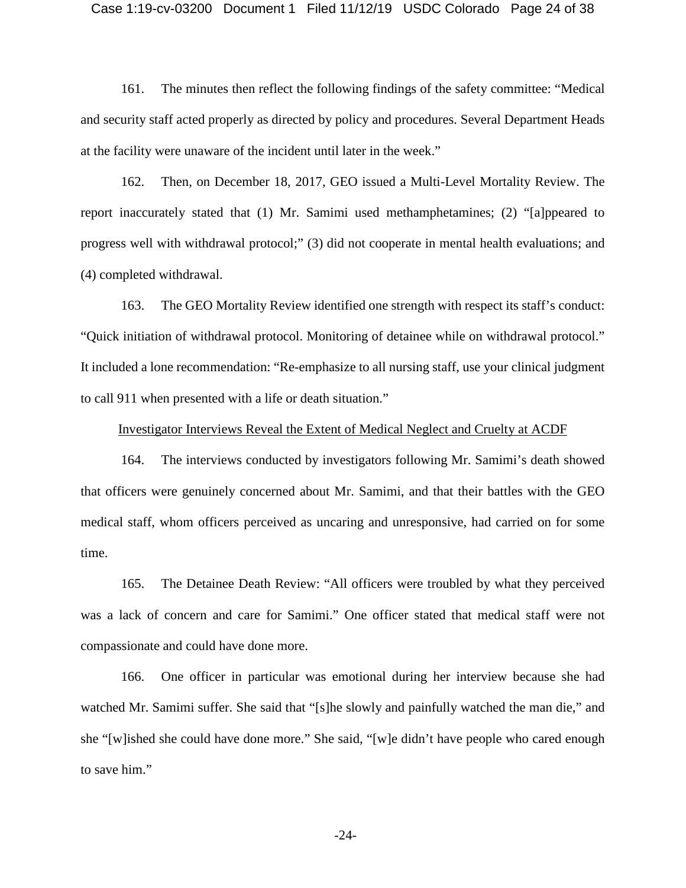#### Case 1:19-cv-03200 Document 1 Filed 11/12/19 USDC Colorado Page 24 of 38

161. The minutes then reflect the following findings of the safety committee: "Medical and security staff acted properly as directed by policy and procedures. Several Department Heads at the facility were unaware of the incident until later in the week."

162. Then, on December 18, 2017, GEO issued a Multi-Level Mortality Review. The report inaccurately stated that (1) Mr. Samimi used methamphetamines; (2) "[a]ppeared to progress well with withdrawal protocol;" (3) did not cooperate in mental health evaluations; and (4) completed withdrawal.

163. The GEO Mortality Review identified one strength with respect its staff's conduct: "Quick initiation of withdrawal protocol. Monitoring of detainee while on withdrawal protocol." It included a lone recommendation: "Re-emphasize to all nursing staff, use your clinical judgment to call 911 when presented with a life or death situation."

#### Investigator Interviews Reveal the Extent of Medical Neglect and Cruelty at ACDF

164. The interviews conducted by investigators following Mr. Samimi's death showed that officers were genuinely concerned about Mr. Samimi, and that their battles with the GEO medical staff, whom officers perceived as uncaring and unresponsive, had carried on for some time.

165. The Detainee Death Review: "All officers were troubled by what they perceived was a lack of concern and care for Samimi." One officer stated that medical staff were not compassionate and could have done more.

166. One officer in particular was emotional during her interview because she had watched Mr. Samimi suffer. She said that "[s]he slowly and painfully watched the man die," and she "[w]ished she could have done more." She said, "[w]e didn't have people who cared enough to save him."

-24-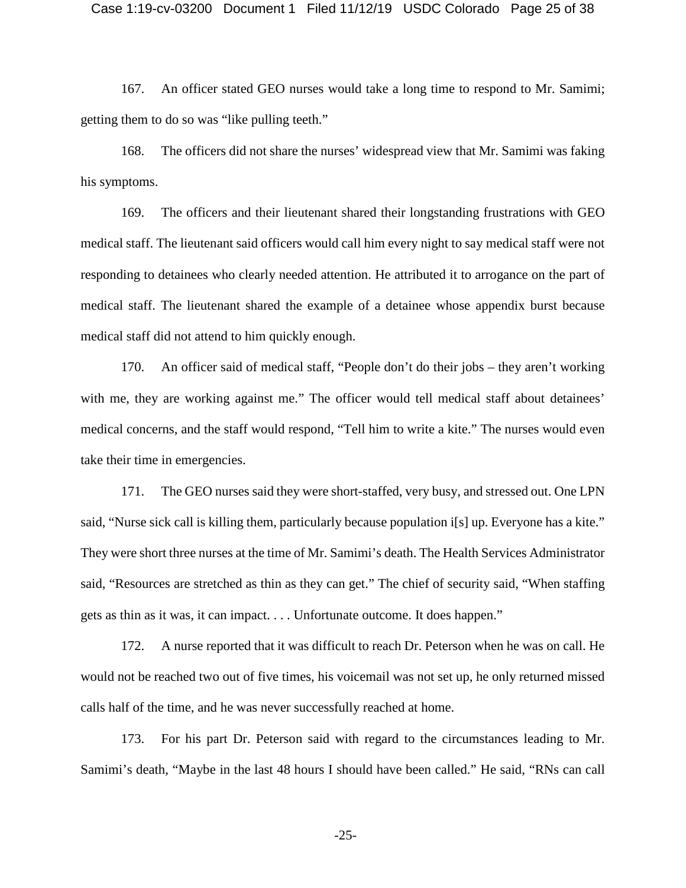167. An officer stated GEO nurses would take a long time to respond to Mr. Samimi; getting them to do so was "like pulling teeth."

168. The officers did not share the nurses' widespread view that Mr. Samimi was faking his symptoms.

169. The officers and their lieutenant shared their longstanding frustrations with GEO medical staff. The lieutenant said officers would call him every night to say medical staff were not responding to detainees who clearly needed attention. He attributed it to arrogance on the part of medical staff. The lieutenant shared the example of a detainee whose appendix burst because medical staff did not attend to him quickly enough.

170. An officer said of medical staff, "People don't do their jobs – they aren't working with me, they are working against me." The officer would tell medical staff about detainees' medical concerns, and the staff would respond, "Tell him to write a kite." The nurses would even take their time in emergencies.

171. The GEO nurses said they were short-staffed, very busy, and stressed out. One LPN said, "Nurse sick call is killing them, particularly because population i[s] up. Everyone has a kite." They were short three nurses at the time of Mr. Samimi's death. The Health Services Administrator said, "Resources are stretched as thin as they can get." The chief of security said, "When staffing gets as thin as it was, it can impact. . . . Unfortunate outcome. It does happen."

172. A nurse reported that it was difficult to reach Dr. Peterson when he was on call. He would not be reached two out of five times, his voicemail was not set up, he only returned missed calls half of the time, and he was never successfully reached at home.

173. For his part Dr. Peterson said with regard to the circumstances leading to Mr. Samimi's death, "Maybe in the last 48 hours I should have been called." He said, "RNs can call

-25-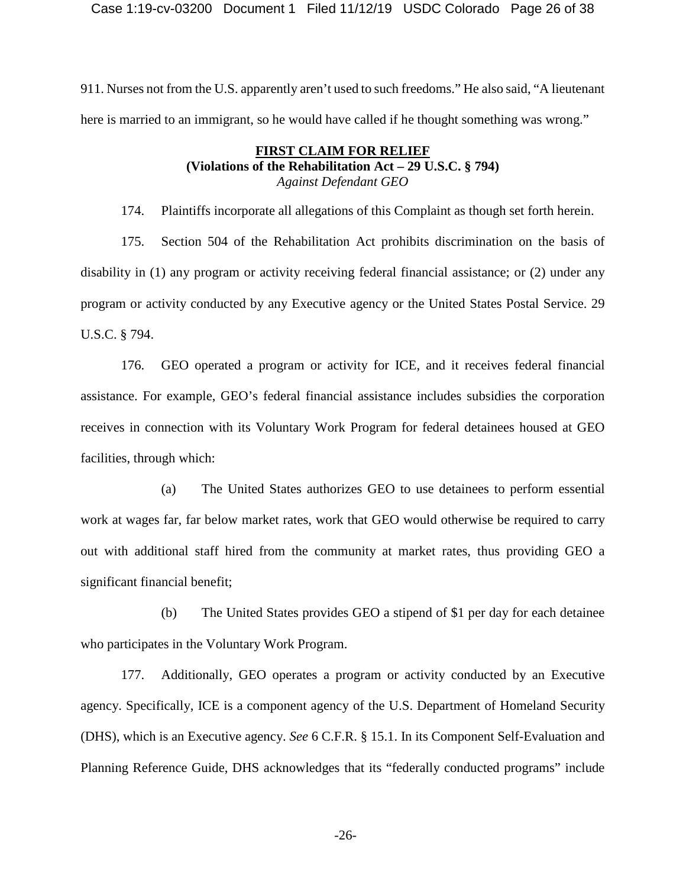Case 1:19-cv-03200 Document 1 Filed 11/12/19 USDC Colorado Page 26 of 38

911. Nurses not from the U.S. apparently aren't used to such freedoms." He also said, "A lieutenant here is married to an immigrant, so he would have called if he thought something was wrong."

## **FIRST CLAIM FOR RELIEF (Violations of the Rehabilitation Act – 29 U.S.C. § 794)**  *Against Defendant GEO*

174. Plaintiffs incorporate all allegations of this Complaint as though set forth herein.

175. Section 504 of the Rehabilitation Act prohibits discrimination on the basis of disability in (1) any program or activity receiving federal financial assistance; or (2) under any program or activity conducted by any Executive agency or the United States Postal Service. 29 U.S.C. § 794.

176. GEO operated a program or activity for ICE, and it receives federal financial assistance. For example, GEO's federal financial assistance includes subsidies the corporation receives in connection with its Voluntary Work Program for federal detainees housed at GEO facilities, through which:

(a) The United States authorizes GEO to use detainees to perform essential work at wages far, far below market rates, work that GEO would otherwise be required to carry out with additional staff hired from the community at market rates, thus providing GEO a significant financial benefit;

(b) The United States provides GEO a stipend of \$1 per day for each detainee who participates in the Voluntary Work Program.

177. Additionally, GEO operates a program or activity conducted by an Executive agency. Specifically, ICE is a component agency of the U.S. Department of Homeland Security (DHS), which is an Executive agency. *See* 6 C.F.R. § 15.1. In its Component Self-Evaluation and Planning Reference Guide, DHS acknowledges that its "federally conducted programs" include

-26-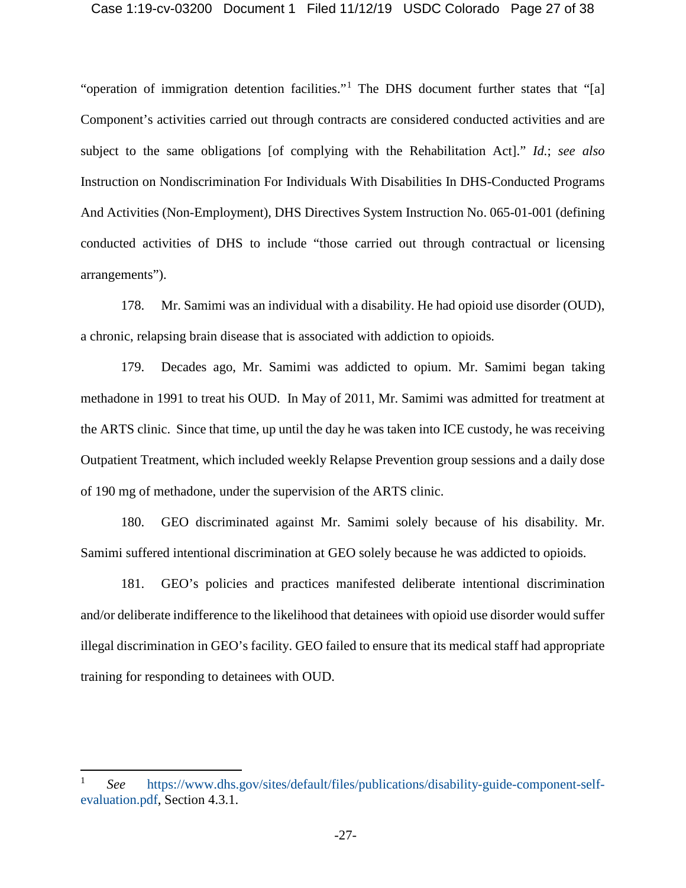#### Case 1:19-cv-03200 Document 1 Filed 11/12/19 USDC Colorado Page 27 of 38

"operation of immigration detention facilities."[1](#page-26-0) The DHS document further states that "[a] Component's activities carried out through contracts are considered conducted activities and are subject to the same obligations [of complying with the Rehabilitation Act]." *Id.*; *see also* Instruction on Nondiscrimination For Individuals With Disabilities In DHS-Conducted Programs And Activities (Non-Employment), DHS Directives System Instruction No. 065-01-001 (defining conducted activities of DHS to include "those carried out through contractual or licensing arrangements").

178. Mr. Samimi was an individual with a disability. He had opioid use disorder (OUD), a chronic, relapsing brain disease that is associated with addiction to opioids.

179. Decades ago, Mr. Samimi was addicted to opium. Mr. Samimi began taking methadone in 1991 to treat his OUD. In May of 2011, Mr. Samimi was admitted for treatment at the ARTS clinic. Since that time, up until the day he was taken into ICE custody, he was receiving Outpatient Treatment, which included weekly Relapse Prevention group sessions and a daily dose of 190 mg of methadone, under the supervision of the ARTS clinic.

180. GEO discriminated against Mr. Samimi solely because of his disability. Mr. Samimi suffered intentional discrimination at GEO solely because he was addicted to opioids.

181. GEO's policies and practices manifested deliberate intentional discrimination and/or deliberate indifference to the likelihood that detainees with opioid use disorder would suffer illegal discrimination in GEO's facility. GEO failed to ensure that its medical staff had appropriate training for responding to detainees with OUD.

<span id="page-26-0"></span> <sup>1</sup> *See* [https://www.dhs.gov/sites/default/files/publications/disability-guide-component-self](https://www.dhs.gov/sites/default/files/publications/disability-guide-component-self-evaluation.pdf)[evaluation.pdf,](https://www.dhs.gov/sites/default/files/publications/disability-guide-component-self-evaluation.pdf) Section 4.3.1.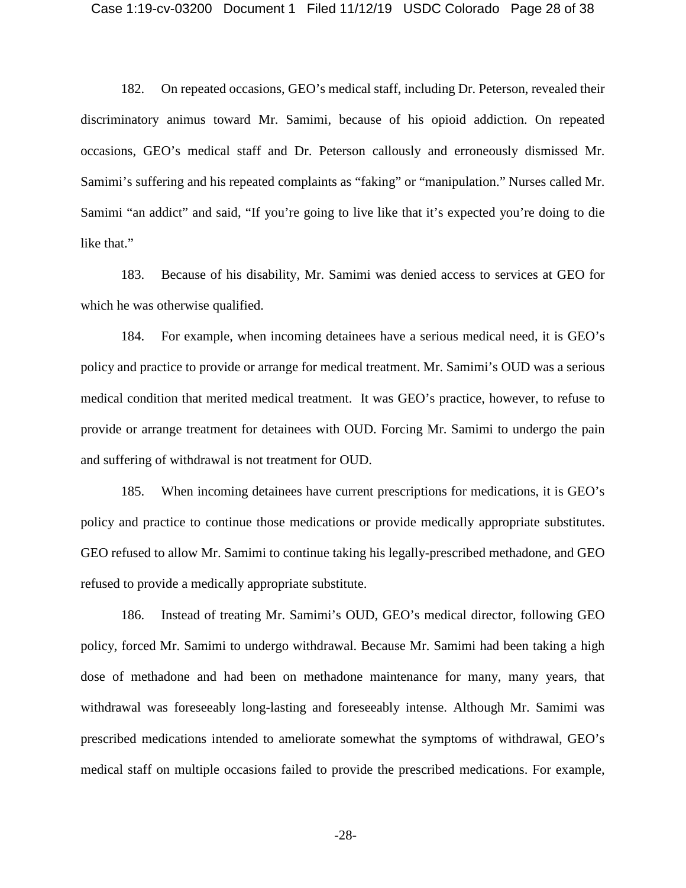182. On repeated occasions, GEO's medical staff, including Dr. Peterson, revealed their discriminatory animus toward Mr. Samimi, because of his opioid addiction. On repeated occasions, GEO's medical staff and Dr. Peterson callously and erroneously dismissed Mr. Samimi's suffering and his repeated complaints as "faking" or "manipulation." Nurses called Mr. Samimi "an addict" and said, "If you're going to live like that it's expected you're doing to die like that."

183. Because of his disability, Mr. Samimi was denied access to services at GEO for which he was otherwise qualified.

184. For example, when incoming detainees have a serious medical need, it is GEO's policy and practice to provide or arrange for medical treatment. Mr. Samimi's OUD was a serious medical condition that merited medical treatment. It was GEO's practice, however, to refuse to provide or arrange treatment for detainees with OUD. Forcing Mr. Samimi to undergo the pain and suffering of withdrawal is not treatment for OUD.

185. When incoming detainees have current prescriptions for medications, it is GEO's policy and practice to continue those medications or provide medically appropriate substitutes. GEO refused to allow Mr. Samimi to continue taking his legally-prescribed methadone, and GEO refused to provide a medically appropriate substitute.

186. Instead of treating Mr. Samimi's OUD, GEO's medical director, following GEO policy, forced Mr. Samimi to undergo withdrawal. Because Mr. Samimi had been taking a high dose of methadone and had been on methadone maintenance for many, many years, that withdrawal was foreseeably long-lasting and foreseeably intense. Although Mr. Samimi was prescribed medications intended to ameliorate somewhat the symptoms of withdrawal, GEO's medical staff on multiple occasions failed to provide the prescribed medications. For example,

-28-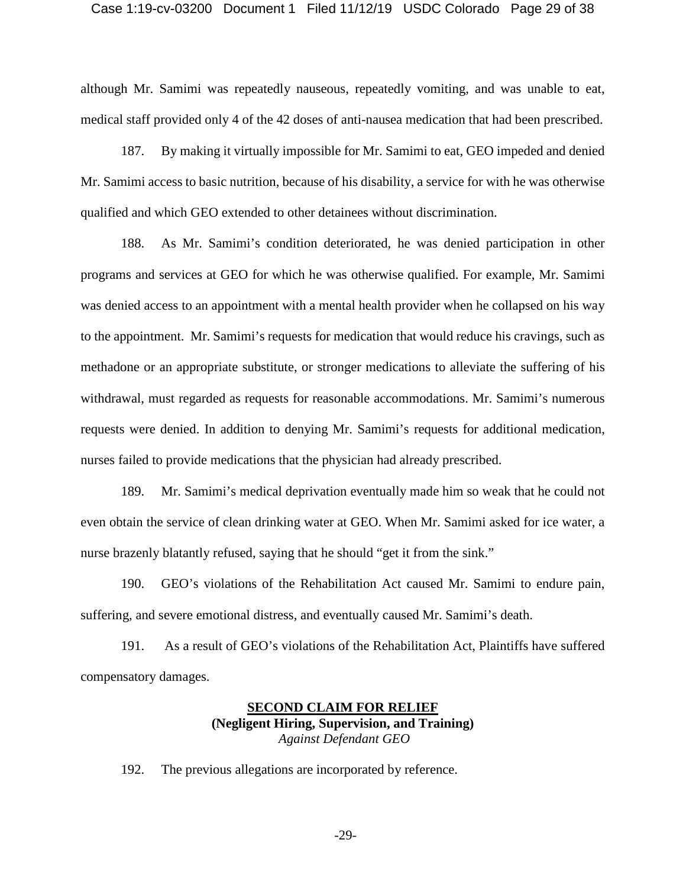#### Case 1:19-cv-03200 Document 1 Filed 11/12/19 USDC Colorado Page 29 of 38

although Mr. Samimi was repeatedly nauseous, repeatedly vomiting, and was unable to eat, medical staff provided only 4 of the 42 doses of anti-nausea medication that had been prescribed.

187. By making it virtually impossible for Mr. Samimi to eat, GEO impeded and denied Mr. Samimi access to basic nutrition, because of his disability, a service for with he was otherwise qualified and which GEO extended to other detainees without discrimination.

188. As Mr. Samimi's condition deteriorated, he was denied participation in other programs and services at GEO for which he was otherwise qualified. For example, Mr. Samimi was denied access to an appointment with a mental health provider when he collapsed on his way to the appointment. Mr. Samimi's requests for medication that would reduce his cravings, such as methadone or an appropriate substitute, or stronger medications to alleviate the suffering of his withdrawal, must regarded as requests for reasonable accommodations. Mr. Samimi's numerous requests were denied. In addition to denying Mr. Samimi's requests for additional medication, nurses failed to provide medications that the physician had already prescribed.

189. Mr. Samimi's medical deprivation eventually made him so weak that he could not even obtain the service of clean drinking water at GEO. When Mr. Samimi asked for ice water, a nurse brazenly blatantly refused, saying that he should "get it from the sink."

190. GEO's violations of the Rehabilitation Act caused Mr. Samimi to endure pain, suffering, and severe emotional distress, and eventually caused Mr. Samimi's death.

191. As a result of GEO's violations of the Rehabilitation Act, Plaintiffs have suffered compensatory damages.

## **SECOND CLAIM FOR RELIEF (Negligent Hiring, Supervision, and Training)** *Against Defendant GEO*

192. The previous allegations are incorporated by reference.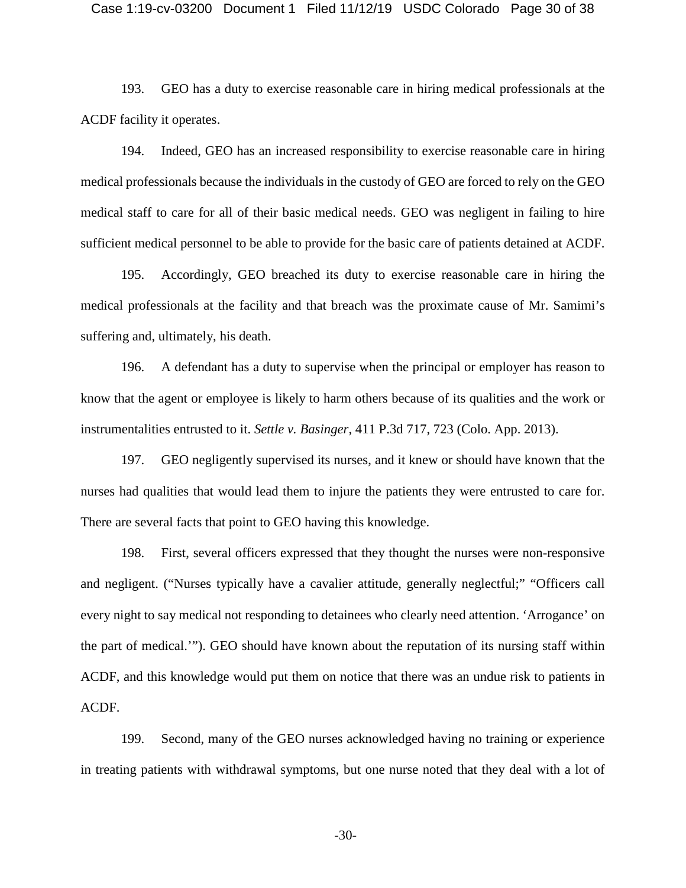#### Case 1:19-cv-03200 Document 1 Filed 11/12/19 USDC Colorado Page 30 of 38

193. GEO has a duty to exercise reasonable care in hiring medical professionals at the ACDF facility it operates.

194. Indeed, GEO has an increased responsibility to exercise reasonable care in hiring medical professionals because the individuals in the custody of GEO are forced to rely on the GEO medical staff to care for all of their basic medical needs. GEO was negligent in failing to hire sufficient medical personnel to be able to provide for the basic care of patients detained at ACDF.

195. Accordingly, GEO breached its duty to exercise reasonable care in hiring the medical professionals at the facility and that breach was the proximate cause of Mr. Samimi's suffering and, ultimately, his death.

196. A defendant has a duty to supervise when the principal or employer has reason to know that the agent or employee is likely to harm others because of its qualities and the work or instrumentalities entrusted to it. *Settle v. Basinger*, 411 P.3d 717, 723 (Colo. App. 2013).

197. GEO negligently supervised its nurses, and it knew or should have known that the nurses had qualities that would lead them to injure the patients they were entrusted to care for. There are several facts that point to GEO having this knowledge.

198. First, several officers expressed that they thought the nurses were non-responsive and negligent. ("Nurses typically have a cavalier attitude, generally neglectful;" "Officers call every night to say medical not responding to detainees who clearly need attention. 'Arrogance' on the part of medical.'"). GEO should have known about the reputation of its nursing staff within ACDF, and this knowledge would put them on notice that there was an undue risk to patients in ACDF.

199. Second, many of the GEO nurses acknowledged having no training or experience in treating patients with withdrawal symptoms, but one nurse noted that they deal with a lot of

-30-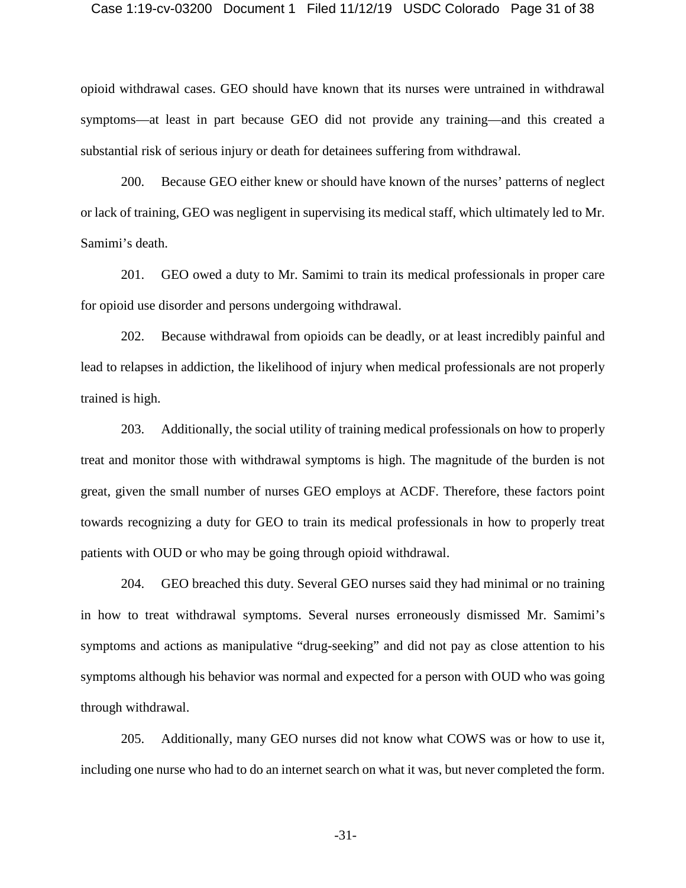#### Case 1:19-cv-03200 Document 1 Filed 11/12/19 USDC Colorado Page 31 of 38

opioid withdrawal cases. GEO should have known that its nurses were untrained in withdrawal symptoms—at least in part because GEO did not provide any training—and this created a substantial risk of serious injury or death for detainees suffering from withdrawal.

200. Because GEO either knew or should have known of the nurses' patterns of neglect or lack of training, GEO was negligent in supervising its medical staff, which ultimately led to Mr. Samimi's death.

201. GEO owed a duty to Mr. Samimi to train its medical professionals in proper care for opioid use disorder and persons undergoing withdrawal.

202. Because withdrawal from opioids can be deadly, or at least incredibly painful and lead to relapses in addiction, the likelihood of injury when medical professionals are not properly trained is high.

203. Additionally, the social utility of training medical professionals on how to properly treat and monitor those with withdrawal symptoms is high. The magnitude of the burden is not great, given the small number of nurses GEO employs at ACDF. Therefore, these factors point towards recognizing a duty for GEO to train its medical professionals in how to properly treat patients with OUD or who may be going through opioid withdrawal.

204. GEO breached this duty. Several GEO nurses said they had minimal or no training in how to treat withdrawal symptoms. Several nurses erroneously dismissed Mr. Samimi's symptoms and actions as manipulative "drug-seeking" and did not pay as close attention to his symptoms although his behavior was normal and expected for a person with OUD who was going through withdrawal.

205. Additionally, many GEO nurses did not know what COWS was or how to use it, including one nurse who had to do an internet search on what it was, but never completed the form.

-31-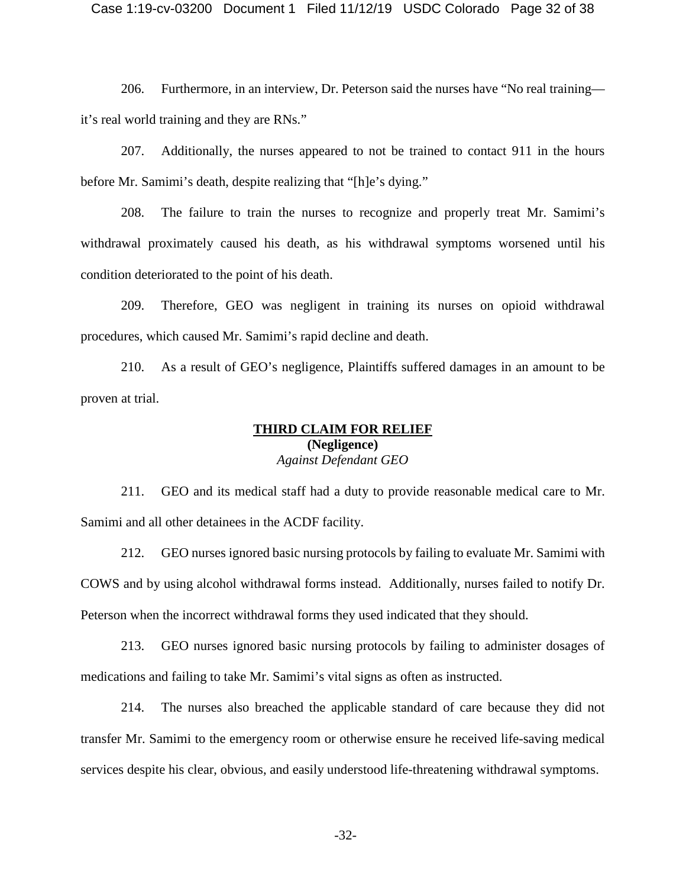206. Furthermore, in an interview, Dr. Peterson said the nurses have "No real training it's real world training and they are RNs."

207. Additionally, the nurses appeared to not be trained to contact 911 in the hours before Mr. Samimi's death, despite realizing that "[h]e's dying."

208. The failure to train the nurses to recognize and properly treat Mr. Samimi's withdrawal proximately caused his death, as his withdrawal symptoms worsened until his condition deteriorated to the point of his death.

209. Therefore, GEO was negligent in training its nurses on opioid withdrawal procedures, which caused Mr. Samimi's rapid decline and death.

210. As a result of GEO's negligence, Plaintiffs suffered damages in an amount to be proven at trial.

## **THIRD CLAIM FOR RELIEF (Negligence)** *Against Defendant GEO*

211. GEO and its medical staff had a duty to provide reasonable medical care to Mr. Samimi and all other detainees in the ACDF facility.

212. GEO nurses ignored basic nursing protocols by failing to evaluate Mr. Samimi with COWS and by using alcohol withdrawal forms instead. Additionally, nurses failed to notify Dr. Peterson when the incorrect withdrawal forms they used indicated that they should.

213. GEO nurses ignored basic nursing protocols by failing to administer dosages of medications and failing to take Mr. Samimi's vital signs as often as instructed.

214. The nurses also breached the applicable standard of care because they did not transfer Mr. Samimi to the emergency room or otherwise ensure he received life-saving medical services despite his clear, obvious, and easily understood life-threatening withdrawal symptoms.

-32-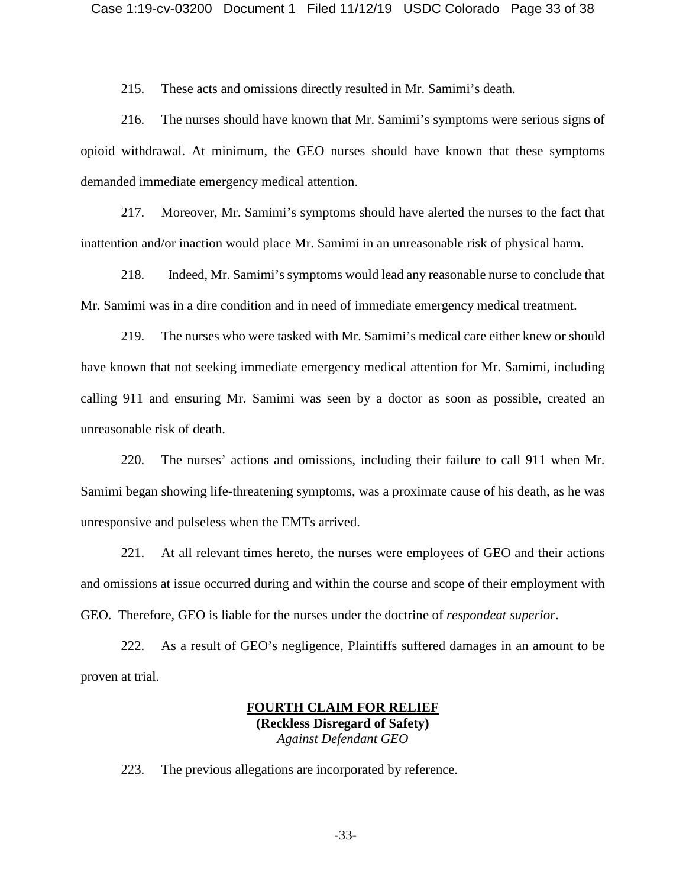215. These acts and omissions directly resulted in Mr. Samimi's death.

216. The nurses should have known that Mr. Samimi's symptoms were serious signs of opioid withdrawal. At minimum, the GEO nurses should have known that these symptoms demanded immediate emergency medical attention.

217. Moreover, Mr. Samimi's symptoms should have alerted the nurses to the fact that inattention and/or inaction would place Mr. Samimi in an unreasonable risk of physical harm.

218. Indeed, Mr. Samimi's symptoms would lead any reasonable nurse to conclude that Mr. Samimi was in a dire condition and in need of immediate emergency medical treatment.

219. The nurses who were tasked with Mr. Samimi's medical care either knew or should have known that not seeking immediate emergency medical attention for Mr. Samimi, including calling 911 and ensuring Mr. Samimi was seen by a doctor as soon as possible, created an unreasonable risk of death.

220. The nurses' actions and omissions, including their failure to call 911 when Mr. Samimi began showing life-threatening symptoms, was a proximate cause of his death, as he was unresponsive and pulseless when the EMTs arrived.

221. At all relevant times hereto, the nurses were employees of GEO and their actions and omissions at issue occurred during and within the course and scope of their employment with GEO. Therefore, GEO is liable for the nurses under the doctrine of *respondeat superior*.

222. As a result of GEO's negligence, Plaintiffs suffered damages in an amount to be proven at trial.

## **FOURTH CLAIM FOR RELIEF (Reckless Disregard of Safety)** *Against Defendant GEO*

223. The previous allegations are incorporated by reference.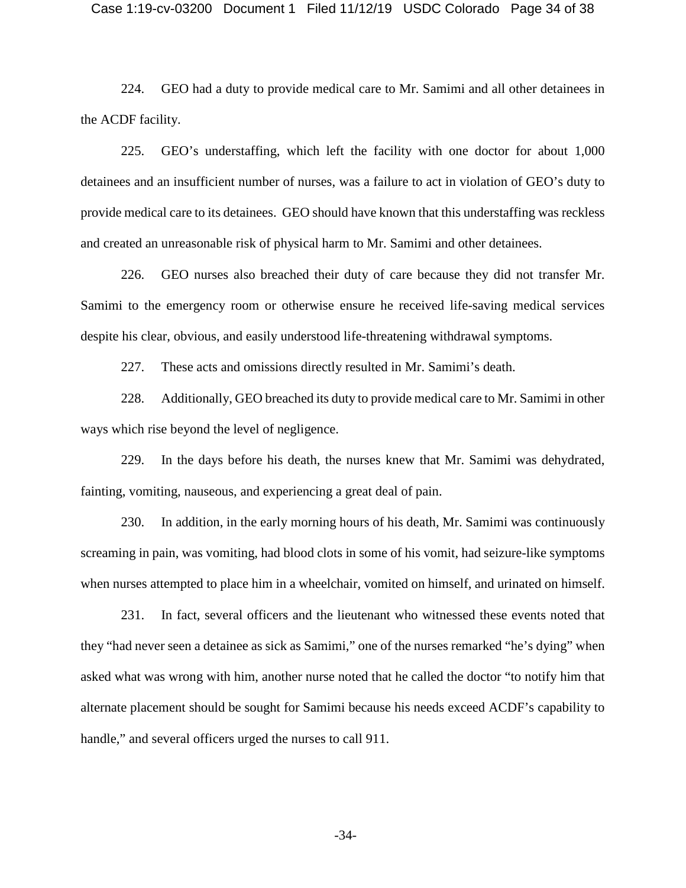#### Case 1:19-cv-03200 Document 1 Filed 11/12/19 USDC Colorado Page 34 of 38

224. GEO had a duty to provide medical care to Mr. Samimi and all other detainees in the ACDF facility.

225. GEO's understaffing, which left the facility with one doctor for about 1,000 detainees and an insufficient number of nurses, was a failure to act in violation of GEO's duty to provide medical care to its detainees. GEO should have known that this understaffing was reckless and created an unreasonable risk of physical harm to Mr. Samimi and other detainees.

226. GEO nurses also breached their duty of care because they did not transfer Mr. Samimi to the emergency room or otherwise ensure he received life-saving medical services despite his clear, obvious, and easily understood life-threatening withdrawal symptoms.

227. These acts and omissions directly resulted in Mr. Samimi's death.

228. Additionally, GEO breached its duty to provide medical care to Mr. Samimi in other ways which rise beyond the level of negligence.

229. In the days before his death, the nurses knew that Mr. Samimi was dehydrated, fainting, vomiting, nauseous, and experiencing a great deal of pain.

230. In addition, in the early morning hours of his death, Mr. Samimi was continuously screaming in pain, was vomiting, had blood clots in some of his vomit, had seizure-like symptoms when nurses attempted to place him in a wheelchair, vomited on himself, and urinated on himself.

231. In fact, several officers and the lieutenant who witnessed these events noted that they "had never seen a detainee as sick as Samimi," one of the nurses remarked "he's dying" when asked what was wrong with him, another nurse noted that he called the doctor "to notify him that alternate placement should be sought for Samimi because his needs exceed ACDF's capability to handle," and several officers urged the nurses to call 911.

-34-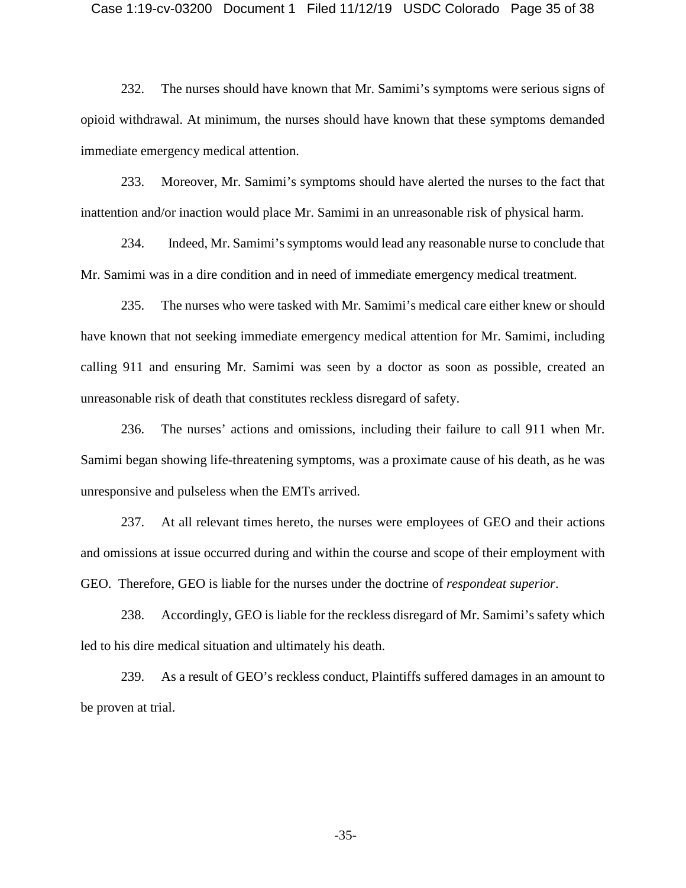#### Case 1:19-cv-03200 Document 1 Filed 11/12/19 USDC Colorado Page 35 of 38

232. The nurses should have known that Mr. Samimi's symptoms were serious signs of opioid withdrawal. At minimum, the nurses should have known that these symptoms demanded immediate emergency medical attention.

233. Moreover, Mr. Samimi's symptoms should have alerted the nurses to the fact that inattention and/or inaction would place Mr. Samimi in an unreasonable risk of physical harm.

234. Indeed, Mr. Samimi's symptoms would lead any reasonable nurse to conclude that Mr. Samimi was in a dire condition and in need of immediate emergency medical treatment.

235. The nurses who were tasked with Mr. Samimi's medical care either knew or should have known that not seeking immediate emergency medical attention for Mr. Samimi, including calling 911 and ensuring Mr. Samimi was seen by a doctor as soon as possible, created an unreasonable risk of death that constitutes reckless disregard of safety.

236. The nurses' actions and omissions, including their failure to call 911 when Mr. Samimi began showing life-threatening symptoms, was a proximate cause of his death, as he was unresponsive and pulseless when the EMTs arrived.

237. At all relevant times hereto, the nurses were employees of GEO and their actions and omissions at issue occurred during and within the course and scope of their employment with GEO. Therefore, GEO is liable for the nurses under the doctrine of *respondeat superior*.

238. Accordingly, GEO is liable for the reckless disregard of Mr. Samimi's safety which led to his dire medical situation and ultimately his death.

239. As a result of GEO's reckless conduct, Plaintiffs suffered damages in an amount to be proven at trial.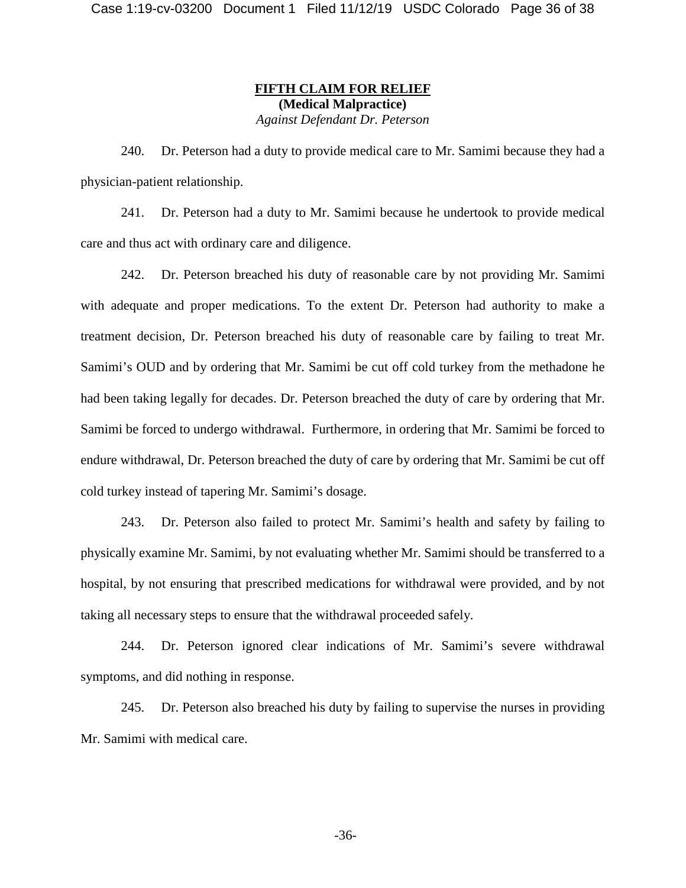## **FIFTH CLAIM FOR RELIEF (Medical Malpractice)** *Against Defendant Dr. Peterson*

240. Dr. Peterson had a duty to provide medical care to Mr. Samimi because they had a physician-patient relationship.

241. Dr. Peterson had a duty to Mr. Samimi because he undertook to provide medical care and thus act with ordinary care and diligence.

242. Dr. Peterson breached his duty of reasonable care by not providing Mr. Samimi with adequate and proper medications. To the extent Dr. Peterson had authority to make a treatment decision, Dr. Peterson breached his duty of reasonable care by failing to treat Mr. Samimi's OUD and by ordering that Mr. Samimi be cut off cold turkey from the methadone he had been taking legally for decades. Dr. Peterson breached the duty of care by ordering that Mr. Samimi be forced to undergo withdrawal. Furthermore, in ordering that Mr. Samimi be forced to endure withdrawal, Dr. Peterson breached the duty of care by ordering that Mr. Samimi be cut off cold turkey instead of tapering Mr. Samimi's dosage.

243. Dr. Peterson also failed to protect Mr. Samimi's health and safety by failing to physically examine Mr. Samimi, by not evaluating whether Mr. Samimi should be transferred to a hospital, by not ensuring that prescribed medications for withdrawal were provided, and by not taking all necessary steps to ensure that the withdrawal proceeded safely.

244. Dr. Peterson ignored clear indications of Mr. Samimi's severe withdrawal symptoms, and did nothing in response.

245. Dr. Peterson also breached his duty by failing to supervise the nurses in providing Mr. Samimi with medical care.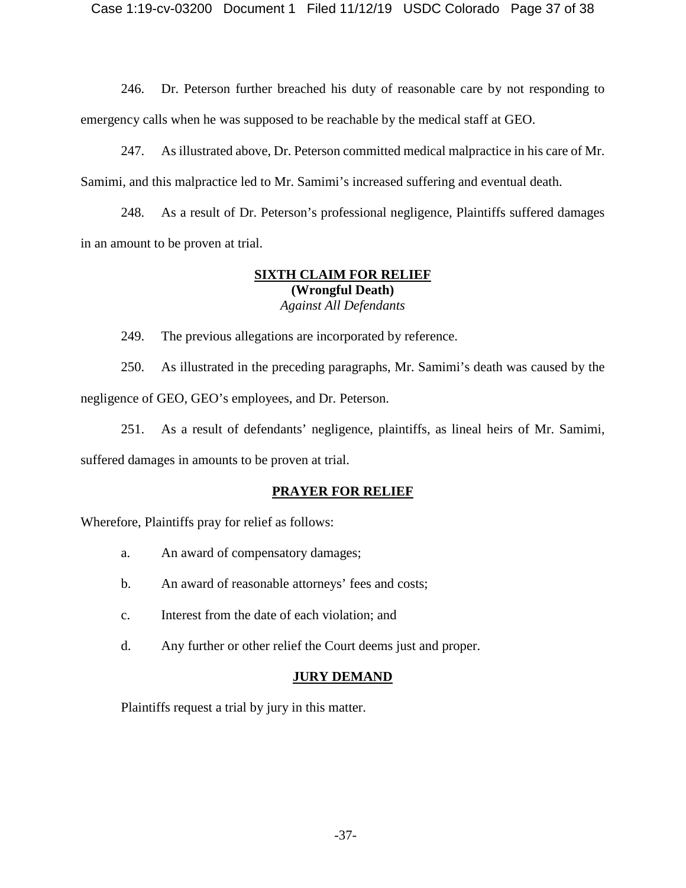246. Dr. Peterson further breached his duty of reasonable care by not responding to emergency calls when he was supposed to be reachable by the medical staff at GEO.

247. As illustrated above, Dr. Peterson committed medical malpractice in his care of Mr. Samimi, and this malpractice led to Mr. Samimi's increased suffering and eventual death.

248. As a result of Dr. Peterson's professional negligence, Plaintiffs suffered damages in an amount to be proven at trial.

## **SIXTH CLAIM FOR RELIEF (Wrongful Death)** *Against All Defendants*

249. The previous allegations are incorporated by reference.

250. As illustrated in the preceding paragraphs, Mr. Samimi's death was caused by the negligence of GEO, GEO's employees, and Dr. Peterson.

251. As a result of defendants' negligence, plaintiffs, as lineal heirs of Mr. Samimi, suffered damages in amounts to be proven at trial.

## **PRAYER FOR RELIEF**

Wherefore, Plaintiffs pray for relief as follows:

- a. An award of compensatory damages;
- b. An award of reasonable attorneys' fees and costs;
- c. Interest from the date of each violation; and
- d. Any further or other relief the Court deems just and proper.

## **JURY DEMAND**

Plaintiffs request a trial by jury in this matter.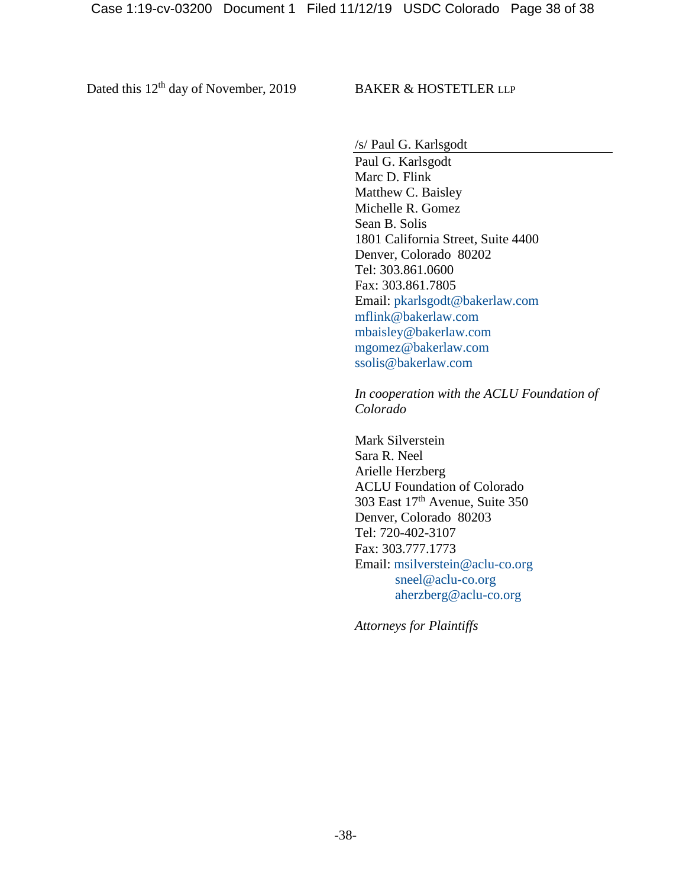Dated this 12<sup>th</sup> day of November, 2019 BAKER & HOSTETLER LLP

/s/ Paul G. Karlsgodt

Paul G. Karlsgodt Marc D. Flink Matthew C. Baisley Michelle R. Gomez Sean B. Solis 1801 California Street, Suite 4400 Denver, Colorado 80202 Tel: 303.861.0600 Fax: 303.861.7805 Email: [pkarlsgodt@bakerlaw.com](mailto:pkarlsgodt@bakerlaw.com) [mflink@bakerlaw.com](mailto:mflink@bakerlaw.com) [mbaisley@bakerlaw.com](mailto:mbaisley@bakerlaw.com) [mgomez@bakerlaw.com](mailto:mgomez@bakerlaw.com) [ssolis@bakerlaw.com](mailto:ssolis@bakerlaw.com)

*In cooperation with the ACLU Foundation of Colorado*

Mark Silverstein Sara R. Neel Arielle Herzberg ACLU Foundation of Colorado 303 East  $17<sup>th</sup>$  Avenue, Suite 350 Denver, Colorado 80203 Tel: 720-402-3107 Fax: 303.777.1773 Email: [msilverstein@aclu-co.org](mailto:msilverstein@aclu-co.org) [sneel@aclu-co.org](mailto:sneel@aclu-co.org) [aherzberg@aclu-co.org](mailto:aherzberg@aclu-co.org)

*Attorneys for Plaintiffs*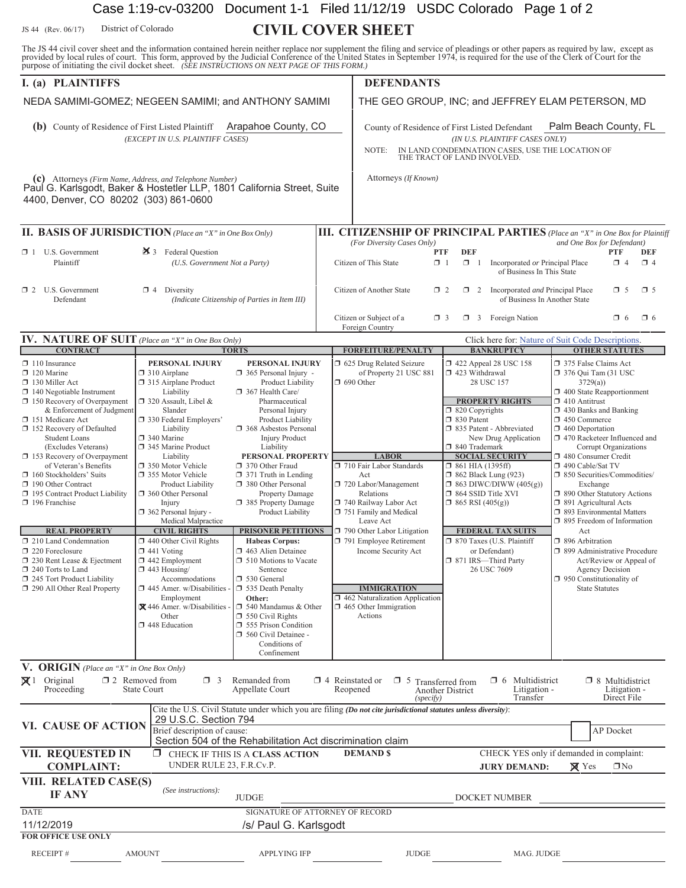# Case 1:19-cv-03200 Document 1-1 Filed 11/12/19 USDC Colorado Page 1 of 2

JS 44 (Rev. 06/17) District of Colorado **CIVIL COVER SHEET** District of Colorado

The JS 44 civil cover sheet and the information contained herein neither replace nor supplement the filing and service of pleadings or other papers as required by law, except as provided by local rules of court. This form,

| purpose of mitiating the civil docket sneet. (SEE INSTRUCTIONS ON NEXT PAGE OF THIS FORM.)<br>I. (a) PLAINTIFFS                                                              |                                                                                                                                                                                                                                                                                                                                                                                                                    |                                                                                                                                                                       |                                                                              | <b>DEFENDANTS</b>                                                                                                                                                                                   |                                                                                                                                                 |                                                                                                                                                                                                                                                                  |  |
|------------------------------------------------------------------------------------------------------------------------------------------------------------------------------|--------------------------------------------------------------------------------------------------------------------------------------------------------------------------------------------------------------------------------------------------------------------------------------------------------------------------------------------------------------------------------------------------------------------|-----------------------------------------------------------------------------------------------------------------------------------------------------------------------|------------------------------------------------------------------------------|-----------------------------------------------------------------------------------------------------------------------------------------------------------------------------------------------------|-------------------------------------------------------------------------------------------------------------------------------------------------|------------------------------------------------------------------------------------------------------------------------------------------------------------------------------------------------------------------------------------------------------------------|--|
| NEDA SAMIMI-GOMEZ; NEGEEN SAMIMI; and ANTHONY SAMIMI                                                                                                                         |                                                                                                                                                                                                                                                                                                                                                                                                                    |                                                                                                                                                                       |                                                                              | THE GEO GROUP, INC; and JEFFREY ELAM PETERSON, MD                                                                                                                                                   |                                                                                                                                                 |                                                                                                                                                                                                                                                                  |  |
|                                                                                                                                                                              |                                                                                                                                                                                                                                                                                                                                                                                                                    |                                                                                                                                                                       |                                                                              |                                                                                                                                                                                                     |                                                                                                                                                 |                                                                                                                                                                                                                                                                  |  |
| Arapahoe County, CO<br><b>(b)</b> County of Residence of First Listed Plaintiff<br>(EXCEPT IN U.S. PLAINTIFF CASES)                                                          |                                                                                                                                                                                                                                                                                                                                                                                                                    |                                                                                                                                                                       |                                                                              | Palm Beach County, FL<br>County of Residence of First Listed Defendant<br>(IN U.S. PLAINTIFF CASES ONLY)<br>IN LAND CONDEMNATION CASES, USE THE LOCATION OF<br>NOTE:<br>THE TRACT OF LAND INVOLVED. |                                                                                                                                                 |                                                                                                                                                                                                                                                                  |  |
| (c) Attorneys (Firm Name, Address, and Telephone Number)<br>Paul G. Karlsgodt, Baker & Hostetler LLP, 1801 California Street, Suite<br>4400, Denver, CO 80202 (303) 861-0600 |                                                                                                                                                                                                                                                                                                                                                                                                                    |                                                                                                                                                                       |                                                                              | Attorneys (If Known)                                                                                                                                                                                |                                                                                                                                                 |                                                                                                                                                                                                                                                                  |  |
| <b>II. BASIS OF JURISDICTION</b> (Place an "X" in One Box Only)                                                                                                              |                                                                                                                                                                                                                                                                                                                                                                                                                    |                                                                                                                                                                       |                                                                              |                                                                                                                                                                                                     |                                                                                                                                                 | <b>III. CITIZENSHIP OF PRINCIPAL PARTIES</b> (Place an "X" in One Box for Plaintiff                                                                                                                                                                              |  |
| $\Box$ 1 U.S. Government<br>Plaintiff                                                                                                                                        | 25 3 Federal Question<br>(U.S. Government Not a Party)                                                                                                                                                                                                                                                                                                                                                             |                                                                                                                                                                       |                                                                              | (For Diversity Cases Only)<br>Citizen of This State                                                                                                                                                 | <b>DEF</b><br>PTF<br>$\Box$ 1<br>$\Box$ 1 Incorporated or Principal Place<br>of Business In This State                                          | and One Box for Defendant)<br>PTF<br>DEF<br>$\Box$ 4<br>$\Box$ 4                                                                                                                                                                                                 |  |
| $\Box$ 2 U.S. Government<br>Defendant                                                                                                                                        | $\Box$ 4 Diversity                                                                                                                                                                                                                                                                                                                                                                                                 | (Indicate Citizenship of Parties in Item III)                                                                                                                         |                                                                              | Citizen of Another State                                                                                                                                                                            | 1 2 Incorporated and Principal Place<br>$\Box$ 2                                                                                                | $\square$ 5<br>$\Box$ 5<br>of Business In Another State                                                                                                                                                                                                          |  |
|                                                                                                                                                                              |                                                                                                                                                                                                                                                                                                                                                                                                                    |                                                                                                                                                                       |                                                                              | Citizen or Subject of a<br>Foreign Country                                                                                                                                                          | $\Box$ 3 Foreign Nation<br>$\Box$ 3                                                                                                             | $\Box$ 6<br>$\Box$ 6                                                                                                                                                                                                                                             |  |
| <b>IV. NATURE OF SUIT</b> (Place an "X" in One Box Only)                                                                                                                     |                                                                                                                                                                                                                                                                                                                                                                                                                    |                                                                                                                                                                       |                                                                              | Click here for: Nature of Suit Code Descriptions.                                                                                                                                                   |                                                                                                                                                 |                                                                                                                                                                                                                                                                  |  |
| <b>CONTRACT</b>                                                                                                                                                              |                                                                                                                                                                                                                                                                                                                                                                                                                    | <b>TORTS</b>                                                                                                                                                          |                                                                              | <b>FORFEITURE/PENALTY</b>                                                                                                                                                                           | <b>BANKRUPTCY</b>                                                                                                                               | <b>OTHER STATUTES</b>                                                                                                                                                                                                                                            |  |
| $\Box$ 110 Insurance<br>$\Box$ 120 Marine<br>130 Miller Act<br>$\Box$ 140 Negotiable Instrument<br>150 Recovery of Overpayment                                               | PERSONAL INJURY<br><b>PERSONAL INJURY</b><br>$\Box$ 310 Airplane<br>365 Personal Injury -<br>315 Airplane Product<br>Product Liability<br>Liability<br>367 Health Care/<br>320 Assault, Libel &<br>Pharmaceutical<br>Slander<br>Personal Injury<br>□ 330 Federal Employers'<br>Product Liability<br>Liability<br>□ 368 Asbestos Personal<br>340 Marine<br><b>Injury Product</b><br>345 Marine Product<br>Liability |                                                                                                                                                                       |                                                                              | □ 625 Drug Related Seizure<br>of Property 21 USC 881<br>$\Box$ 690 Other                                                                                                                            | 158 122 Appeal 28 USC 158<br>$\Box$ 423 Withdrawal<br>28 USC 157<br><b>PROPERTY RIGHTS</b>                                                      | 375 False Claims Act<br>□ 376 Qui Tam (31 USC<br>3729(a)<br>$\Box$ 400 State Reapportionment<br>$\Box$ 410 Antitrust<br>$\Box$ 430 Banks and Banking<br>$\Box$ 450 Commerce<br>$\Box$ 460 Deportation<br>1 470 Racketeer Influenced and<br>Corrupt Organizations |  |
| & Enforcement of Judgment<br>151 Medicare Act<br>152 Recovery of Defaulted<br><b>Student Loans</b><br>(Excludes Veterans)                                                    |                                                                                                                                                                                                                                                                                                                                                                                                                    |                                                                                                                                                                       |                                                                              |                                                                                                                                                                                                     | $\Box$ 820 Copyrights<br>$\Box$ 830 Patent<br>□ 835 Patent - Abbreviated<br>New Drug Application<br>□ 840 Trademark                             |                                                                                                                                                                                                                                                                  |  |
| $\Box$ 153 Recovery of Overpayment                                                                                                                                           | Liability                                                                                                                                                                                                                                                                                                                                                                                                          | PERSONAL PROPERTY                                                                                                                                                     |                                                                              | <b>LABOR</b>                                                                                                                                                                                        | <b>SOCIAL SECURITY</b>                                                                                                                          | 480 Consumer Credit                                                                                                                                                                                                                                              |  |
| of Veteran's Benefits<br>160 Stockholders' Suits<br>190 Other Contract<br>□ 195 Contract Product Liability<br>196 Franchise                                                  | 350 Motor Vehicle<br>□ 355 Motor Vehicle<br>Product Liability<br>360 Other Personal<br>Injury<br>362 Personal Injury -<br>Medical Malpractice                                                                                                                                                                                                                                                                      | 370 Other Fraud<br>$\Box$ 371 Truth in Lending<br>380 Other Personal<br>Property Damage<br>□ 385 Property Damage<br>Product Liability                                 |                                                                              | 710 Fair Labor Standards<br>Act<br>720 Labor/Management<br>Relations<br>740 Railway Labor Act<br>751 Family and Medical<br>Leave Act                                                                | $\Box$ 861 HIA (1395ff)<br>$\Box$ 862 Black Lung (923)<br>$\Box$ 863 DIWC/DIWW (405(g))<br>$\Box$ 864 SSID Title XVI<br>$\Box$ 865 RSI (405(g)) | □ 490 Cable/Sat TV<br>□ 850 Securities/Commodities/<br>Exchange<br>1 890 Other Statutory Actions<br>□ 891 Agricultural Acts<br>□ 893 Environmental Matters<br>$\Box$ 895 Freedom of Information                                                                  |  |
| <b>REAL PROPERTY</b><br>210 Land Condemnation<br>220 Foreclosure<br>$\Box$ 230 Rent Lease & Ejectment<br>240 Torts to Land<br>245 Tort Product Liability                     | <b>CIVIL RIGHTS</b><br>$\Box$ 440 Other Civil Rights<br>$\Box$ 441 Voting<br>$\Box$ 442 Employment<br>$\Box$ 443 Housing/<br>Accommodations                                                                                                                                                                                                                                                                        | PRISONER PETITIONS<br><b>Habeas Corpus:</b><br>1463 Alien Detainee<br><b>1</b> 510 Motions to Vacate<br>Sentence<br>530 General                                       | 790 Other Labor Litigation<br>791 Employee Retirement<br>Income Security Act |                                                                                                                                                                                                     | <b>FEDERAL TAX SUITS</b><br>□ 870 Taxes (U.S. Plaintiff<br>or Defendant)<br>□ 871 IRS-Third Party<br>26 USC 7609                                | Act<br>□ 896 Arbitration<br>□ 899 Administrative Procedure<br>Act/Review or Appeal of<br>Agency Decision<br>$\Box$ 950 Constitutionality of                                                                                                                      |  |
| 290 All Other Real Property                                                                                                                                                  | $\Box$ 445 Amer. w/Disabilities -<br>Employment<br>X 446 Amer. w/Disabilities -<br>Other<br>448 Education                                                                                                                                                                                                                                                                                                          | 535 Death Penalty<br>Other:<br>$\Box$ 540 Mandamus & Other<br>$\Box$ 550 Civil Rights<br>555 Prison Condition<br>560 Civil Detainee -<br>Conditions of<br>Confinement |                                                                              | <b>IMMIGRATION</b><br>$\Box$ 462 Naturalization Application<br>$\Box$ 465 Other Immigration<br>Actions                                                                                              |                                                                                                                                                 | <b>State Statutes</b>                                                                                                                                                                                                                                            |  |
| <b>V. ORIGIN</b> (Place an "X" in One Box Only)                                                                                                                              |                                                                                                                                                                                                                                                                                                                                                                                                                    |                                                                                                                                                                       |                                                                              |                                                                                                                                                                                                     |                                                                                                                                                 |                                                                                                                                                                                                                                                                  |  |
| $\boxtimes$ 1 Original<br>Proceeding                                                                                                                                         | $\square$ 2 Removed from<br>$\Box$ 3<br>State Court                                                                                                                                                                                                                                                                                                                                                                | Remanded from<br>Appellate Court                                                                                                                                      | $\Box$ 4 Reinstated or                                                       | $\Box$ 5 Transferred from<br>Reopened<br>(specify)                                                                                                                                                  | Multidistrict<br>$\Box$ 6<br>Litigation -<br>Another District<br>Transfer                                                                       | $\Box$ 8 Multidistrict<br>Litigation -<br>Direct File                                                                                                                                                                                                            |  |
| VI. CAUSE OF ACTION                                                                                                                                                          | 29 U.S.C. Section 794<br>Brief description of cause:                                                                                                                                                                                                                                                                                                                                                               | Section 504 of the Rehabilitation Act discrimination claim                                                                                                            |                                                                              | Cite the U.S. Civil Statute under which you are filing (Do not cite jurisdictional statutes unless diversity):                                                                                      |                                                                                                                                                 | <b>AP</b> Docket                                                                                                                                                                                                                                                 |  |
| VII. REQUESTED IN<br><b>COMPLAINT:</b>                                                                                                                                       | ο.<br>UNDER RULE 23, F.R.Cv.P.                                                                                                                                                                                                                                                                                                                                                                                     | CHECK IF THIS IS A CLASS ACTION                                                                                                                                       |                                                                              | <b>DEMAND \$</b>                                                                                                                                                                                    | <b>JURY DEMAND:</b>                                                                                                                             | CHECK YES only if demanded in complaint:<br>$\Box$ No<br>$\boxtimes$ Yes                                                                                                                                                                                         |  |
| VIII. RELATED CASE(S)<br><b>IF ANY</b>                                                                                                                                       | (See instructions):<br><b>JUDGE</b>                                                                                                                                                                                                                                                                                                                                                                                |                                                                                                                                                                       |                                                                              | DOCKET NUMBER                                                                                                                                                                                       |                                                                                                                                                 |                                                                                                                                                                                                                                                                  |  |
| <b>DATE</b><br>11/12/2019                                                                                                                                                    |                                                                                                                                                                                                                                                                                                                                                                                                                    | SIGNATURE OF ATTORNEY OF RECORD<br>/s/ Paul G. Karlsgodt                                                                                                              |                                                                              |                                                                                                                                                                                                     |                                                                                                                                                 |                                                                                                                                                                                                                                                                  |  |
| <b>FOR OFFICE USE ONLY</b><br>RECEIPT#                                                                                                                                       | <b>AMOUNT</b>                                                                                                                                                                                                                                                                                                                                                                                                      | <b>APPLYING IFP</b>                                                                                                                                                   |                                                                              | <b>JUDGE</b>                                                                                                                                                                                        | MAG. JUDGE                                                                                                                                      |                                                                                                                                                                                                                                                                  |  |